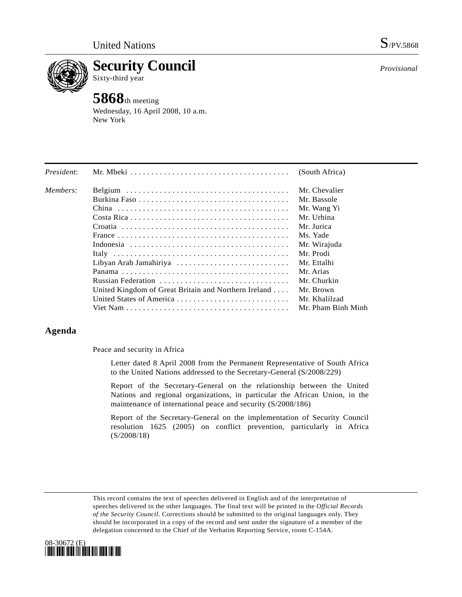

**Security Council**  Sixty-third year

# **5868**th meeting

Wednesday, 16 April 2008, 10 a.m. New York

| President: |                                                      | (South Africa)     |
|------------|------------------------------------------------------|--------------------|
| Members:   |                                                      | Mr. Chevalier      |
|            |                                                      | Mr. Bassole        |
|            |                                                      | Mr. Wang Yi        |
|            |                                                      | Mr. Urbina         |
|            |                                                      | Mr. Jurica         |
|            |                                                      | Ms. Yade           |
|            |                                                      | Mr. Wirajuda       |
|            |                                                      | Mr. Prodi          |
|            | Libyan Arab Jamahiriya                               | Mr. Ettalhi        |
|            |                                                      | Mr. Arias          |
|            | Russian Federation                                   | Mr. Churkin        |
|            | United Kingdom of Great Britain and Northern Ireland | Mr. Brown          |
|            |                                                      | Mr. Khalilzad      |
|            |                                                      | Mr. Pham Binh Minh |

## **Agenda**

Peace and security in Africa

Letter dated 8 April 2008 from the Permanent Representative of South Africa to the United Nations addressed to the Secretary-General (S/2008/229)

Report of the Secretary-General on the relationship between the United Nations and regional organizations, in particular the African Union, in the maintenance of international peace and security (S/2008/186)

Report of the Secretary-General on the implementation of Security Council resolution 1625 (2005) on conflict prevention, particularly in Africa (S/2008/18)

This record contains the text of speeches delivered in English and of the interpretation of speeches delivered in the other languages. The final text will be printed in the *Official Records of the Security Council*. Corrections should be submitted to the original languages only. They should be incorporated in a copy of the record and sent under the signature of a member of the delegation concerned to the Chief of the Verbatim Reporting Service, room C-154A.

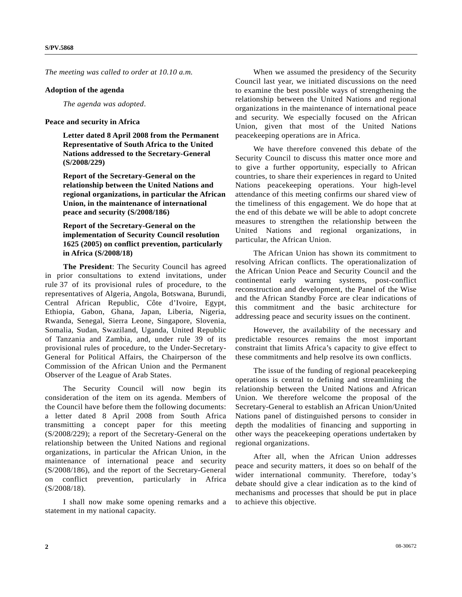*The meeting was called to order at 10.10 a.m.* 

#### **Adoption of the agenda**

*The agenda was adopted*.

#### **Peace and security in Africa**

 **Letter dated 8 April 2008 from the Permanent Representative of South Africa to the United Nations addressed to the Secretary-General (S/2008/229)** 

 **Report of the Secretary-General on the relationship between the United Nations and regional organizations, in particular the African Union, in the maintenance of international peace and security (S/2008/186)** 

### **Report of the Secretary-General on the implementation of Security Council resolution 1625 (2005) on conflict prevention, particularly in Africa (S/2008/18)**

 **The President**: The Security Council has agreed in prior consultations to extend invitations, under rule 37 of its provisional rules of procedure, to the representatives of Algeria, Angola, Botswana, Burundi, Central African Republic, Côte d'Ivoire, Egypt, Ethiopia, Gabon, Ghana, Japan, Liberia, Nigeria, Rwanda, Senegal, Sierra Leone, Singapore, Slovenia, Somalia, Sudan, Swaziland, Uganda, United Republic of Tanzania and Zambia, and, under rule 39 of its provisional rules of procedure, to the Under-Secretary-General for Political Affairs, the Chairperson of the Commission of the African Union and the Permanent Observer of the League of Arab States.

The Security Council will now begin its consideration of the item on its agenda. Members of the Council have before them the following documents: a letter dated 8 April 2008 from South Africa transmitting a concept paper for this meeting (S/2008/229); a report of the Secretary-General on the relationship between the United Nations and regional organizations, in particular the African Union, in the maintenance of international peace and security (S/2008/186), and the report of the Secretary-General on conflict prevention, particularly in Africa (S/2008/18).

 I shall now make some opening remarks and a statement in my national capacity.

 When we assumed the presidency of the Security Council last year, we initiated discussions on the need to examine the best possible ways of strengthening the relationship between the United Nations and regional organizations in the maintenance of international peace and security. We especially focused on the African Union, given that most of the United Nations peacekeeping operations are in Africa.

 We have therefore convened this debate of the Security Council to discuss this matter once more and to give a further opportunity, especially to African countries, to share their experiences in regard to United Nations peacekeeping operations. Your high-level attendance of this meeting confirms our shared view of the timeliness of this engagement. We do hope that at the end of this debate we will be able to adopt concrete measures to strengthen the relationship between the United Nations and regional organizations, in particular, the African Union.

 The African Union has shown its commitment to resolving African conflicts. The operationalization of the African Union Peace and Security Council and the continental early warning systems, post-conflict reconstruction and development, the Panel of the Wise and the African Standby Force are clear indications of this commitment and the basic architecture for addressing peace and security issues on the continent.

 However, the availability of the necessary and predictable resources remains the most important constraint that limits Africa's capacity to give effect to these commitments and help resolve its own conflicts.

 The issue of the funding of regional peacekeeping operations is central to defining and streamlining the relationship between the United Nations and African Union. We therefore welcome the proposal of the Secretary-General to establish an African Union/United Nations panel of distinguished persons to consider in depth the modalities of financing and supporting in other ways the peacekeeping operations undertaken by regional organizations.

 After all, when the African Union addresses peace and security matters, it does so on behalf of the wider international community. Therefore, today's debate should give a clear indication as to the kind of mechanisms and processes that should be put in place to achieve this objective.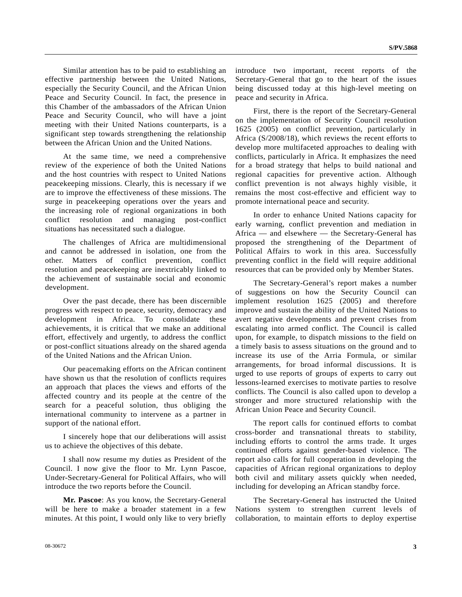Similar attention has to be paid to establishing an effective partnership between the United Nations, especially the Security Council, and the African Union Peace and Security Council. In fact, the presence in this Chamber of the ambassadors of the African Union Peace and Security Council, who will have a joint meeting with their United Nations counterparts, is a significant step towards strengthening the relationship between the African Union and the United Nations.

 At the same time, we need a comprehensive review of the experience of both the United Nations and the host countries with respect to United Nations peacekeeping missions. Clearly, this is necessary if we are to improve the effectiveness of these missions. The surge in peacekeeping operations over the years and the increasing role of regional organizations in both conflict resolution and managing post-conflict situations has necessitated such a dialogue.

 The challenges of Africa are multidimensional and cannot be addressed in isolation, one from the other. Matters of conflict prevention, conflict resolution and peacekeeping are inextricably linked to the achievement of sustainable social and economic development.

 Over the past decade, there has been discernible progress with respect to peace, security, democracy and development in Africa. To consolidate these achievements, it is critical that we make an additional effort, effectively and urgently, to address the conflict or post-conflict situations already on the shared agenda of the United Nations and the African Union.

 Our peacemaking efforts on the African continent have shown us that the resolution of conflicts requires an approach that places the views and efforts of the affected country and its people at the centre of the search for a peaceful solution, thus obliging the international community to intervene as a partner in support of the national effort.

 I sincerely hope that our deliberations will assist us to achieve the objectives of this debate.

 I shall now resume my duties as President of the Council. I now give the floor to Mr. Lynn Pascoe, Under-Secretary-General for Political Affairs, who will introduce the two reports before the Council.

**Mr. Pascoe**: As you know, the Secretary-General will be here to make a broader statement in a few minutes. At this point, I would only like to very briefly introduce two important, recent reports of the Secretary-General that go to the heart of the issues being discussed today at this high-level meeting on peace and security in Africa.

 First, there is the report of the Secretary-General on the implementation of Security Council resolution 1625 (2005) on conflict prevention, particularly in Africa (S/2008/18), which reviews the recent efforts to develop more multifaceted approaches to dealing with conflicts, particularly in Africa. It emphasizes the need for a broad strategy that helps to build national and regional capacities for preventive action. Although conflict prevention is not always highly visible, it remains the most cost-effective and efficient way to promote international peace and security.

 In order to enhance United Nations capacity for early warning, conflict prevention and mediation in Africa — and elsewhere — the Secretary-General has proposed the strengthening of the Department of Political Affairs to work in this area. Successfully preventing conflict in the field will require additional resources that can be provided only by Member States.

 The Secretary-General's report makes a number of suggestions on how the Security Council can implement resolution 1625 (2005) and therefore improve and sustain the ability of the United Nations to avert negative developments and prevent crises from escalating into armed conflict. The Council is called upon, for example, to dispatch missions to the field on a timely basis to assess situations on the ground and to increase its use of the Arria Formula, or similar arrangements, for broad informal discussions. It is urged to use reports of groups of experts to carry out lessons-learned exercises to motivate parties to resolve conflicts. The Council is also called upon to develop a stronger and more structured relationship with the African Union Peace and Security Council.

 The report calls for continued efforts to combat cross-border and transnational threats to stability, including efforts to control the arms trade. It urges continued efforts against gender-based violence. The report also calls for full cooperation in developing the capacities of African regional organizations to deploy both civil and military assets quickly when needed, including for developing an African standby force.

 The Secretary-General has instructed the United Nations system to strengthen current levels of collaboration, to maintain efforts to deploy expertise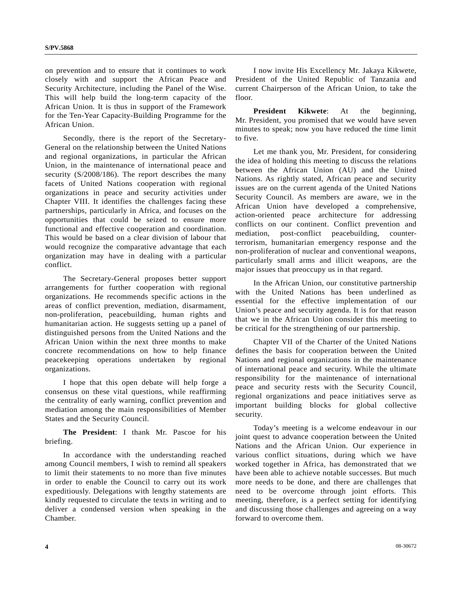on prevention and to ensure that it continues to work closely with and support the African Peace and Security Architecture, including the Panel of the Wise. This will help build the long-term capacity of the African Union. It is thus in support of the Framework for the Ten-Year Capacity-Building Programme for the African Union.

 Secondly, there is the report of the Secretary-General on the relationship between the United Nations and regional organizations, in particular the African Union, in the maintenance of international peace and security (S/2008/186). The report describes the many facets of United Nations cooperation with regional organizations in peace and security activities under Chapter VIII. It identifies the challenges facing these partnerships, particularly in Africa, and focuses on the opportunities that could be seized to ensure more functional and effective cooperation and coordination. This would be based on a clear division of labour that would recognize the comparative advantage that each organization may have in dealing with a particular conflict.

 The Secretary-General proposes better support arrangements for further cooperation with regional organizations. He recommends specific actions in the areas of conflict prevention, mediation, disarmament, non-proliferation, peacebuilding, human rights and humanitarian action. He suggests setting up a panel of distinguished persons from the United Nations and the African Union within the next three months to make concrete recommendations on how to help finance peacekeeping operations undertaken by regional organizations.

 I hope that this open debate will help forge a consensus on these vital questions, while reaffirming the centrality of early warning, conflict prevention and mediation among the main responsibilities of Member States and the Security Council.

**The President**: I thank Mr. Pascoe for his briefing.

 In accordance with the understanding reached among Council members, I wish to remind all speakers to limit their statements to no more than five minutes in order to enable the Council to carry out its work expeditiously. Delegations with lengthy statements are kindly requested to circulate the texts in writing and to deliver a condensed version when speaking in the Chamber.

 I now invite His Excellency Mr. Jakaya Kikwete, President of the United Republic of Tanzania and current Chairperson of the African Union, to take the floor.

 **President Kikwete**: At the beginning, Mr. President, you promised that we would have seven minutes to speak; now you have reduced the time limit to five.

 Let me thank you, Mr. President, for considering the idea of holding this meeting to discuss the relations between the African Union (AU) and the United Nations. As rightly stated, African peace and security issues are on the current agenda of the United Nations Security Council. As members are aware, we in the African Union have developed a comprehensive, action-oriented peace architecture for addressing conflicts on our continent. Conflict prevention and mediation, post-conflict peacebuilding, counterterrorism, humanitarian emergency response and the non-proliferation of nuclear and conventional weapons, particularly small arms and illicit weapons, are the major issues that preoccupy us in that regard.

 In the African Union, our constitutive partnership with the United Nations has been underlined as essential for the effective implementation of our Union's peace and security agenda. It is for that reason that we in the African Union consider this meeting to be critical for the strengthening of our partnership.

 Chapter VII of the Charter of the United Nations defines the basis for cooperation between the United Nations and regional organizations in the maintenance of international peace and security. While the ultimate responsibility for the maintenance of international peace and security rests with the Security Council, regional organizations and peace initiatives serve as important building blocks for global collective security.

 Today's meeting is a welcome endeavour in our joint quest to advance cooperation between the United Nations and the African Union. Our experience in various conflict situations, during which we have worked together in Africa, has demonstrated that we have been able to achieve notable successes. But much more needs to be done, and there are challenges that need to be overcome through joint efforts. This meeting, therefore, is a perfect setting for identifying and discussing those challenges and agreeing on a way forward to overcome them.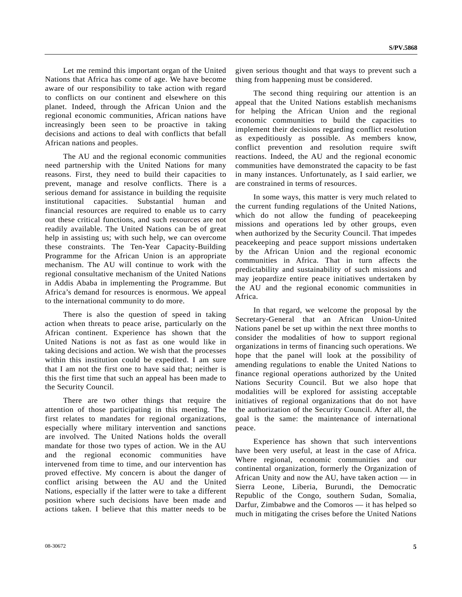Let me remind this important organ of the United Nations that Africa has come of age. We have become aware of our responsibility to take action with regard to conflicts on our continent and elsewhere on this planet. Indeed, through the African Union and the regional economic communities, African nations have increasingly been seen to be proactive in taking decisions and actions to deal with conflicts that befall African nations and peoples.

 The AU and the regional economic communities need partnership with the United Nations for many reasons. First, they need to build their capacities to prevent, manage and resolve conflicts. There is a serious demand for assistance in building the requisite institutional capacities. Substantial human and financial resources are required to enable us to carry out these critical functions, and such resources are not readily available. The United Nations can be of great help in assisting us; with such help, we can overcome these constraints. The Ten-Year Capacity-Building Programme for the African Union is an appropriate mechanism. The AU will continue to work with the regional consultative mechanism of the United Nations in Addis Ababa in implementing the Programme. But Africa's demand for resources is enormous. We appeal to the international community to do more.

 There is also the question of speed in taking action when threats to peace arise, particularly on the African continent. Experience has shown that the United Nations is not as fast as one would like in taking decisions and action. We wish that the processes within this institution could be expedited. I am sure that I am not the first one to have said that; neither is this the first time that such an appeal has been made to the Security Council.

 There are two other things that require the attention of those participating in this meeting. The first relates to mandates for regional organizations, especially where military intervention and sanctions are involved. The United Nations holds the overall mandate for those two types of action. We in the AU and the regional economic communities have intervened from time to time, and our intervention has proved effective. My concern is about the danger of conflict arising between the AU and the United Nations, especially if the latter were to take a different position where such decisions have been made and actions taken. I believe that this matter needs to be given serious thought and that ways to prevent such a thing from happening must be considered.

 The second thing requiring our attention is an appeal that the United Nations establish mechanisms for helping the African Union and the regional economic communities to build the capacities to implement their decisions regarding conflict resolution as expeditiously as possible. As members know, conflict prevention and resolution require swift reactions. Indeed, the AU and the regional economic communities have demonstrated the capacity to be fast in many instances. Unfortunately, as I said earlier, we are constrained in terms of resources.

 In some ways, this matter is very much related to the current funding regulations of the United Nations, which do not allow the funding of peacekeeping missions and operations led by other groups, even when authorized by the Security Council. That impedes peacekeeping and peace support missions undertaken by the African Union and the regional economic communities in Africa. That in turn affects the predictability and sustainability of such missions and may jeopardize entire peace initiatives undertaken by the AU and the regional economic communities in Africa.

 In that regard, we welcome the proposal by the Secretary-General that an African Union-United Nations panel be set up within the next three months to consider the modalities of how to support regional organizations in terms of financing such operations. We hope that the panel will look at the possibility of amending regulations to enable the United Nations to finance regional operations authorized by the United Nations Security Council. But we also hope that modalities will be explored for assisting acceptable initiatives of regional organizations that do not have the authorization of the Security Council. After all, the goal is the same: the maintenance of international peace.

 Experience has shown that such interventions have been very useful, at least in the case of Africa. Where regional, economic communities and our continental organization, formerly the Organization of African Unity and now the AU, have taken action — in Sierra Leone, Liberia, Burundi, the Democratic Republic of the Congo, southern Sudan, Somalia, Darfur, Zimbabwe and the Comoros — it has helped so much in mitigating the crises before the United Nations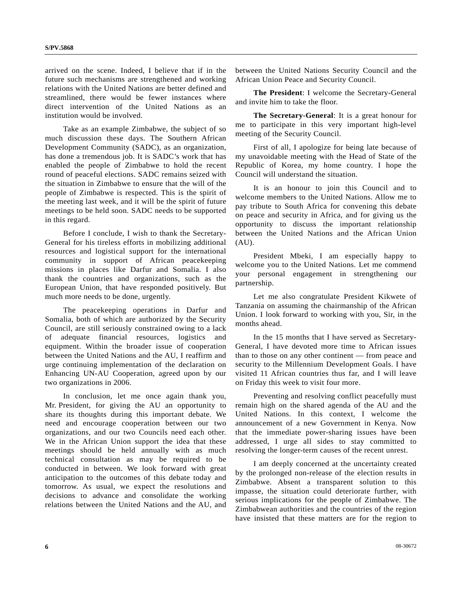arrived on the scene. Indeed, I believe that if in the future such mechanisms are strengthened and working relations with the United Nations are better defined and streamlined, there would be fewer instances where direct intervention of the United Nations as an institution would be involved.

 Take as an example Zimbabwe, the subject of so much discussion these days. The Southern African Development Community (SADC), as an organization, has done a tremendous job. It is SADC's work that has enabled the people of Zimbabwe to hold the recent round of peaceful elections. SADC remains seized with the situation in Zimbabwe to ensure that the will of the people of Zimbabwe is respected. This is the spirit of the meeting last week, and it will be the spirit of future meetings to be held soon. SADC needs to be supported in this regard.

 Before I conclude, I wish to thank the Secretary-General for his tireless efforts in mobilizing additional resources and logistical support for the international community in support of African peacekeeping missions in places like Darfur and Somalia. I also thank the countries and organizations, such as the European Union, that have responded positively. But much more needs to be done, urgently.

 The peacekeeping operations in Darfur and Somalia, both of which are authorized by the Security Council, are still seriously constrained owing to a lack of adequate financial resources, logistics and equipment. Within the broader issue of cooperation between the United Nations and the AU, I reaffirm and urge continuing implementation of the declaration on Enhancing UN-AU Cooperation, agreed upon by our two organizations in 2006.

 In conclusion, let me once again thank you, Mr. President, for giving the AU an opportunity to share its thoughts during this important debate. We need and encourage cooperation between our two organizations, and our two Councils need each other. We in the African Union support the idea that these meetings should be held annually with as much technical consultation as may be required to be conducted in between. We look forward with great anticipation to the outcomes of this debate today and tomorrow. As usual, we expect the resolutions and decisions to advance and consolidate the working relations between the United Nations and the AU, and

between the United Nations Security Council and the African Union Peace and Security Council.

**The President**: I welcome the Secretary-General and invite him to take the floor.

**The Secretary-General**: It is a great honour for me to participate in this very important high-level meeting of the Security Council.

 First of all, I apologize for being late because of my unavoidable meeting with the Head of State of the Republic of Korea, my home country. I hope the Council will understand the situation.

 It is an honour to join this Council and to welcome members to the United Nations. Allow me to pay tribute to South Africa for convening this debate on peace and security in Africa, and for giving us the opportunity to discuss the important relationship between the United Nations and the African Union (AU).

 President Mbeki, I am especially happy to welcome you to the United Nations. Let me commend your personal engagement in strengthening our partnership.

 Let me also congratulate President Kikwete of Tanzania on assuming the chairmanship of the African Union. I look forward to working with you, Sir, in the months ahead.

 In the 15 months that I have served as Secretary-General, I have devoted more time to African issues than to those on any other continent — from peace and security to the Millennium Development Goals. I have visited 11 African countries thus far, and I will leave on Friday this week to visit four more.

 Preventing and resolving conflict peacefully must remain high on the shared agenda of the AU and the United Nations. In this context, I welcome the announcement of a new Government in Kenya. Now that the immediate power-sharing issues have been addressed, I urge all sides to stay committed to resolving the longer-term causes of the recent unrest.

 I am deeply concerned at the uncertainty created by the prolonged non-release of the election results in Zimbabwe. Absent a transparent solution to this impasse, the situation could deteriorate further, with serious implications for the people of Zimbabwe. The Zimbabwean authorities and the countries of the region have insisted that these matters are for the region to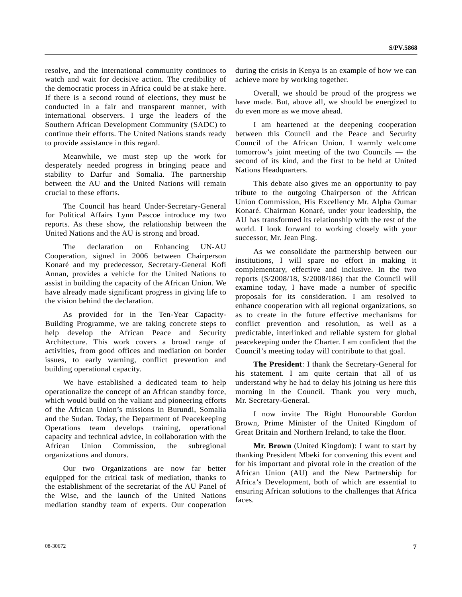resolve, and the international community continues to watch and wait for decisive action. The credibility of the democratic process in Africa could be at stake here. If there is a second round of elections, they must be conducted in a fair and transparent manner, with international observers. I urge the leaders of the Southern African Development Community (SADC) to continue their efforts. The United Nations stands ready to provide assistance in this regard.

 Meanwhile, we must step up the work for desperately needed progress in bringing peace and stability to Darfur and Somalia. The partnership between the AU and the United Nations will remain crucial to these efforts.

 The Council has heard Under-Secretary-General for Political Affairs Lynn Pascoe introduce my two reports. As these show, the relationship between the United Nations and the AU is strong and broad.

 The declaration on Enhancing UN-AU Cooperation, signed in 2006 between Chairperson Konaré and my predecessor, Secretary-General Kofi Annan, provides a vehicle for the United Nations to assist in building the capacity of the African Union. We have already made significant progress in giving life to the vision behind the declaration.

 As provided for in the Ten-Year Capacity-Building Programme, we are taking concrete steps to help develop the African Peace and Security Architecture. This work covers a broad range of activities, from good offices and mediation on border issues, to early warning, conflict prevention and building operational capacity.

 We have established a dedicated team to help operationalize the concept of an African standby force, which would build on the valiant and pioneering efforts of the African Union's missions in Burundi, Somalia and the Sudan. Today, the Department of Peacekeeping Operations team develops training, operational capacity and technical advice, in collaboration with the African Union Commission, the subregional organizations and donors.

 Our two Organizations are now far better equipped for the critical task of mediation, thanks to the establishment of the secretariat of the AU Panel of the Wise, and the launch of the United Nations mediation standby team of experts. Our cooperation

during the crisis in Kenya is an example of how we can achieve more by working together.

 Overall, we should be proud of the progress we have made. But, above all, we should be energized to do even more as we move ahead.

 I am heartened at the deepening cooperation between this Council and the Peace and Security Council of the African Union. I warmly welcome tomorrow's joint meeting of the two Councils — the second of its kind, and the first to be held at United Nations Headquarters.

 This debate also gives me an opportunity to pay tribute to the outgoing Chairperson of the African Union Commission, His Excellency Mr. Alpha Oumar Konaré. Chairman Konaré, under your leadership, the AU has transformed its relationship with the rest of the world. I look forward to working closely with your successor, Mr. Jean Ping.

 As we consolidate the partnership between our institutions, I will spare no effort in making it complementary, effective and inclusive. In the two reports (S/2008/18, S/2008/186) that the Council will examine today, I have made a number of specific proposals for its consideration. I am resolved to enhance cooperation with all regional organizations, so as to create in the future effective mechanisms for conflict prevention and resolution, as well as a predictable, interlinked and reliable system for global peacekeeping under the Charter. I am confident that the Council's meeting today will contribute to that goal.

**The President**: I thank the Secretary-General for his statement. I am quite certain that all of us understand why he had to delay his joining us here this morning in the Council. Thank you very much, Mr. Secretary-General.

 I now invite The Right Honourable Gordon Brown, Prime Minister of the United Kingdom of Great Britain and Northern Ireland, to take the floor.

**Mr. Brown** (United Kingdom): I want to start by thanking President Mbeki for convening this event and for his important and pivotal role in the creation of the African Union (AU) and the New Partnership for Africa's Development, both of which are essential to ensuring African solutions to the challenges that Africa faces.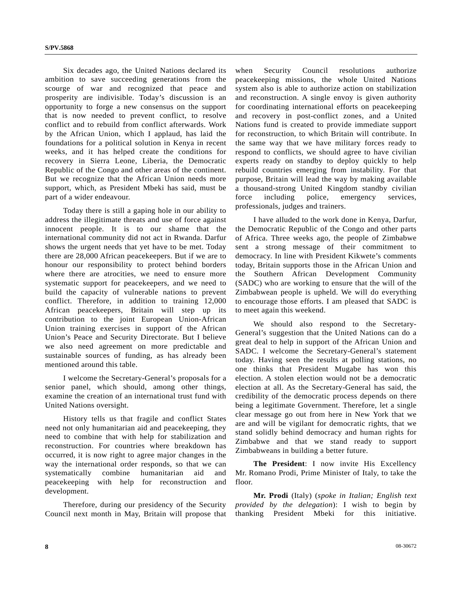Six decades ago, the United Nations declared its ambition to save succeeding generations from the scourge of war and recognized that peace and prosperity are indivisible. Today's discussion is an opportunity to forge a new consensus on the support that is now needed to prevent conflict, to resolve conflict and to rebuild from conflict afterwards. Work by the African Union, which I applaud, has laid the foundations for a political solution in Kenya in recent weeks, and it has helped create the conditions for recovery in Sierra Leone, Liberia, the Democratic Republic of the Congo and other areas of the continent. But we recognize that the African Union needs more support, which, as President Mbeki has said, must be part of a wider endeavour.

 Today there is still a gaping hole in our ability to address the illegitimate threats and use of force against innocent people. It is to our shame that the international community did not act in Rwanda. Darfur shows the urgent needs that yet have to be met. Today there are 28,000 African peacekeepers. But if we are to honour our responsibility to protect behind borders where there are atrocities, we need to ensure more systematic support for peacekeepers, and we need to build the capacity of vulnerable nations to prevent conflict. Therefore, in addition to training 12,000 African peacekeepers, Britain will step up its contribution to the joint European Union-African Union training exercises in support of the African Union's Peace and Security Directorate. But I believe we also need agreement on more predictable and sustainable sources of funding, as has already been mentioned around this table.

 I welcome the Secretary-General's proposals for a senior panel, which should, among other things, examine the creation of an international trust fund with United Nations oversight.

 History tells us that fragile and conflict States need not only humanitarian aid and peacekeeping, they need to combine that with help for stabilization and reconstruction. For countries where breakdown has occurred, it is now right to agree major changes in the way the international order responds, so that we can systematically combine humanitarian aid and peacekeeping with help for reconstruction and development.

 Therefore, during our presidency of the Security Council next month in May, Britain will propose that

when Security Council resolutions authorize peacekeeping missions, the whole United Nations system also is able to authorize action on stabilization and reconstruction. A single envoy is given authority for coordinating international efforts on peacekeeping and recovery in post-conflict zones, and a United Nations fund is created to provide immediate support for reconstruction, to which Britain will contribute. In the same way that we have military forces ready to respond to conflicts, we should agree to have civilian experts ready on standby to deploy quickly to help rebuild countries emerging from instability. For that purpose, Britain will lead the way by making available a thousand-strong United Kingdom standby civilian force including police, emergency services, professionals, judges and trainers.

 I have alluded to the work done in Kenya, Darfur, the Democratic Republic of the Congo and other parts of Africa. Three weeks ago, the people of Zimbabwe sent a strong message of their commitment to democracy. In line with President Kikwete's comments today, Britain supports those in the African Union and the Southern African Development Community (SADC) who are working to ensure that the will of the Zimbabwean people is upheld. We will do everything to encourage those efforts. I am pleased that SADC is to meet again this weekend.

 We should also respond to the Secretary-General's suggestion that the United Nations can do a great deal to help in support of the African Union and SADC. I welcome the Secretary-General's statement today. Having seen the results at polling stations, no one thinks that President Mugabe has won this election. A stolen election would not be a democratic election at all. As the Secretary-General has said, the credibility of the democratic process depends on there being a legitimate Government. Therefore, let a single clear message go out from here in New York that we are and will be vigilant for democratic rights, that we stand solidly behind democracy and human rights for Zimbabwe and that we stand ready to support Zimbabweans in building a better future.

 **The President**: I now invite His Excellency Mr. Romano Prodi, Prime Minister of Italy, to take the floor.

**Mr. Prodi** (Italy) (*spoke in Italian; English text provided by the delegation*): I wish to begin by thanking President Mbeki for this initiative.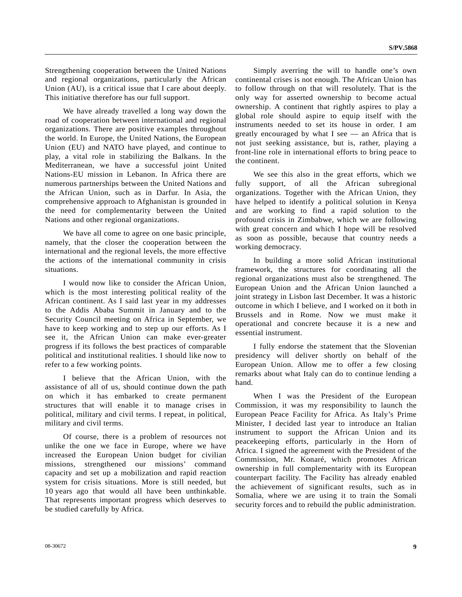Strengthening cooperation between the United Nations and regional organizations, particularly the African Union (AU), is a critical issue that I care about deeply. This initiative therefore has our full support.

 We have already travelled a long way down the road of cooperation between international and regional organizations. There are positive examples throughout the world. In Europe, the United Nations, the European Union (EU) and NATO have played, and continue to play, a vital role in stabilizing the Balkans. In the Mediterranean, we have a successful joint United Nations-EU mission in Lebanon. In Africa there are numerous partnerships between the United Nations and the African Union, such as in Darfur. In Asia, the comprehensive approach to Afghanistan is grounded in the need for complementarity between the United Nations and other regional organizations.

 We have all come to agree on one basic principle, namely, that the closer the cooperation between the international and the regional levels, the more effective the actions of the international community in crisis situations.

 I would now like to consider the African Union, which is the most interesting political reality of the African continent. As I said last year in my addresses to the Addis Ababa Summit in January and to the Security Council meeting on Africa in September, we have to keep working and to step up our efforts. As I see it, the African Union can make ever-greater progress if its follows the best practices of comparable political and institutional realities. I should like now to refer to a few working points.

 I believe that the African Union, with the assistance of all of us, should continue down the path on which it has embarked to create permanent structures that will enable it to manage crises in political, military and civil terms. I repeat, in political, military and civil terms.

 Of course, there is a problem of resources not unlike the one we face in Europe, where we have increased the European Union budget for civilian missions, strengthened our missions' command capacity and set up a mobilization and rapid reaction system for crisis situations. More is still needed, but 10 years ago that would all have been unthinkable. That represents important progress which deserves to be studied carefully by Africa.

 Simply averring the will to handle one's own continental crises is not enough. The African Union has to follow through on that will resolutely. That is the only way for asserted ownership to become actual ownership. A continent that rightly aspires to play a global role should aspire to equip itself with the instruments needed to set its house in order. I am greatly encouraged by what I see — an Africa that is not just seeking assistance, but is, rather, playing a front-line role in international efforts to bring peace to the continent.

 We see this also in the great efforts, which we fully support, of all the African subregional organizations. Together with the African Union, they have helped to identify a political solution in Kenya and are working to find a rapid solution to the profound crisis in Zimbabwe, which we are following with great concern and which I hope will be resolved as soon as possible, because that country needs a working democracy.

 In building a more solid African institutional framework, the structures for coordinating all the regional organizations must also be strengthened. The European Union and the African Union launched a joint strategy in Lisbon last December. It was a historic outcome in which I believe, and I worked on it both in Brussels and in Rome. Now we must make it operational and concrete because it is a new and essential instrument.

 I fully endorse the statement that the Slovenian presidency will deliver shortly on behalf of the European Union. Allow me to offer a few closing remarks about what Italy can do to continue lending a hand.

 When I was the President of the European Commission, it was my responsibility to launch the European Peace Facility for Africa. As Italy's Prime Minister, I decided last year to introduce an Italian instrument to support the African Union and its peacekeeping efforts, particularly in the Horn of Africa. I signed the agreement with the President of the Commission, Mr. Konaré, which promotes African ownership in full complementarity with its European counterpart facility. The Facility has already enabled the achievement of significant results, such as in Somalia, where we are using it to train the Somali security forces and to rebuild the public administration.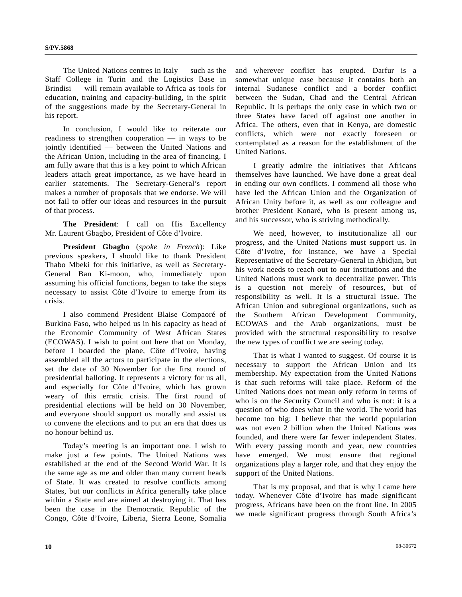The United Nations centres in Italy — such as the Staff College in Turin and the Logistics Base in Brindisi — will remain available to Africa as tools for education, training and capacity-building, in the spirit of the suggestions made by the Secretary-General in his report.

 In conclusion, I would like to reiterate our readiness to strengthen cooperation — in ways to be jointly identified — between the United Nations and the African Union, including in the area of financing. I am fully aware that this is a key point to which African leaders attach great importance, as we have heard in earlier statements. The Secretary-General's report makes a number of proposals that we endorse. We will not fail to offer our ideas and resources in the pursuit of that process.

**The President**: I call on His Excellency Mr. Laurent Gbagbo, President of Côte d'Ivoire.

**President Gbagbo** (*spoke in French*): Like previous speakers, I should like to thank President Thabo Mbeki for this initiative, as well as Secretary-General Ban Ki-moon, who, immediately upon assuming his official functions, began to take the steps necessary to assist Côte d'Ivoire to emerge from its crisis.

 I also commend President Blaise Compaoré of Burkina Faso, who helped us in his capacity as head of the Economic Community of West African States (ECOWAS). I wish to point out here that on Monday, before I boarded the plane, Côte d'Ivoire, having assembled all the actors to participate in the elections, set the date of 30 November for the first round of presidential balloting. It represents a victory for us all, and especially for Côte d'Ivoire, which has grown weary of this erratic crisis. The first round of presidential elections will be held on 30 November, and everyone should support us morally and assist us to convene the elections and to put an era that does us no honour behind us.

 Today's meeting is an important one. I wish to make just a few points. The United Nations was established at the end of the Second World War. It is the same age as me and older than many current heads of State. It was created to resolve conflicts among States, but our conflicts in Africa generally take place within a State and are aimed at destroying it. That has been the case in the Democratic Republic of the Congo, Côte d'Ivoire, Liberia, Sierra Leone, Somalia and wherever conflict has erupted. Darfur is a somewhat unique case because it contains both an internal Sudanese conflict and a border conflict between the Sudan, Chad and the Central African Republic. It is perhaps the only case in which two or three States have faced off against one another in Africa. The others, even that in Kenya, are domestic conflicts, which were not exactly foreseen or contemplated as a reason for the establishment of the United Nations.

 I greatly admire the initiatives that Africans themselves have launched. We have done a great deal in ending our own conflicts. I commend all those who have led the African Union and the Organization of African Unity before it, as well as our colleague and brother President Konaré, who is present among us, and his successor, who is striving methodically.

 We need, however, to institutionalize all our progress, and the United Nations must support us. In Côte d'Ivoire, for instance, we have a Special Representative of the Secretary-General in Abidjan, but his work needs to reach out to our institutions and the United Nations must work to decentralize power. This is a question not merely of resources, but of responsibility as well. It is a structural issue. The African Union and subregional organizations, such as the Southern African Development Community, ECOWAS and the Arab organizations, must be provided with the structural responsibility to resolve the new types of conflict we are seeing today.

 That is what I wanted to suggest. Of course it is necessary to support the African Union and its membership. My expectation from the United Nations is that such reforms will take place. Reform of the United Nations does not mean only reform in terms of who is on the Security Council and who is not: it is a question of who does what in the world. The world has become too big: I believe that the world population was not even 2 billion when the United Nations was founded, and there were far fewer independent States. With every passing month and year, new countries have emerged. We must ensure that regional organizations play a larger role, and that they enjoy the support of the United Nations.

 That is my proposal, and that is why I came here today. Whenever Côte d'Ivoire has made significant progress, Africans have been on the front line. In 2005 we made significant progress through South Africa's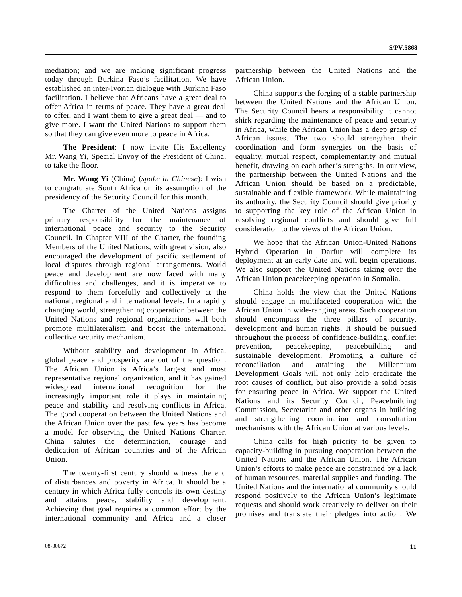mediation; and we are making significant progress today through Burkina Faso's facilitation. We have established an inter-Ivorian dialogue with Burkina Faso facilitation. I believe that Africans have a great deal to offer Africa in terms of peace. They have a great deal to offer, and I want them to give a great deal — and to give more. I want the United Nations to support them so that they can give even more to peace in Africa.

**The President**: I now invite His Excellency Mr. Wang Yi, Special Envoy of the President of China, to take the floor.

**Mr. Wang Yi** (China) (*spoke in Chinese*): I wish to congratulate South Africa on its assumption of the presidency of the Security Council for this month.

 The Charter of the United Nations assigns primary responsibility for the maintenance of international peace and security to the Security Council. In Chapter VIII of the Charter, the founding Members of the United Nations, with great vision, also encouraged the development of pacific settlement of local disputes through regional arrangements. World peace and development are now faced with many difficulties and challenges, and it is imperative to respond to them forcefully and collectively at the national, regional and international levels. In a rapidly changing world, strengthening cooperation between the United Nations and regional organizations will both promote multilateralism and boost the international collective security mechanism.

 Without stability and development in Africa, global peace and prosperity are out of the question. The African Union is Africa's largest and most representative regional organization, and it has gained widespread international recognition for the increasingly important role it plays in maintaining peace and stability and resolving conflicts in Africa. The good cooperation between the United Nations and the African Union over the past few years has become a model for observing the United Nations Charter. China salutes the determination, courage and dedication of African countries and of the African Union.

 The twenty-first century should witness the end of disturbances and poverty in Africa. It should be a century in which Africa fully controls its own destiny and attains peace, stability and development. Achieving that goal requires a common effort by the international community and Africa and a closer partnership between the United Nations and the African Union.

 China supports the forging of a stable partnership between the United Nations and the African Union. The Security Council bears a responsibility it cannot shirk regarding the maintenance of peace and security in Africa, while the African Union has a deep grasp of African issues. The two should strengthen their coordination and form synergies on the basis of equality, mutual respect, complementarity and mutual benefit, drawing on each other's strengths. In our view, the partnership between the United Nations and the African Union should be based on a predictable, sustainable and flexible framework. While maintaining its authority, the Security Council should give priority to supporting the key role of the African Union in resolving regional conflicts and should give full consideration to the views of the African Union.

 We hope that the African Union-United Nations Hybrid Operation in Darfur will complete its deployment at an early date and will begin operations. We also support the United Nations taking over the African Union peacekeeping operation in Somalia.

 China holds the view that the United Nations should engage in multifaceted cooperation with the African Union in wide-ranging areas. Such cooperation should encompass the three pillars of security, development and human rights. It should be pursued throughout the process of confidence-building, conflict prevention, peacekeeping, peacebuilding and sustainable development. Promoting a culture of reconciliation and attaining the Millennium Development Goals will not only help eradicate the root causes of conflict, but also provide a solid basis for ensuring peace in Africa. We support the United Nations and its Security Council, Peacebuilding Commission, Secretariat and other organs in building and strengthening coordination and consultation mechanisms with the African Union at various levels.

 China calls for high priority to be given to capacity-building in pursuing cooperation between the United Nations and the African Union. The African Union's efforts to make peace are constrained by a lack of human resources, material supplies and funding. The United Nations and the international community should respond positively to the African Union's legitimate requests and should work creatively to deliver on their promises and translate their pledges into action. We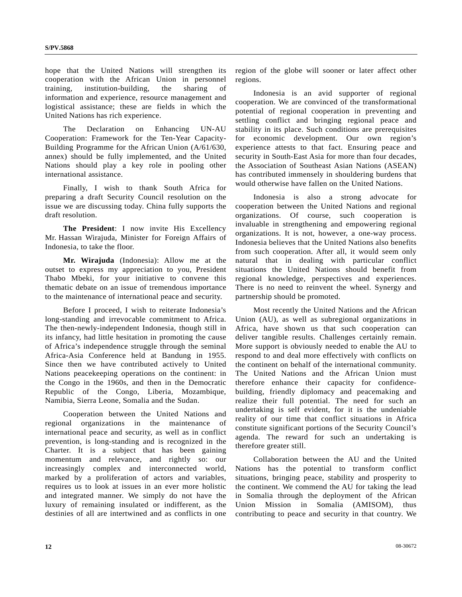hope that the United Nations will strengthen its cooperation with the African Union in personnel training, institution-building, the sharing of information and experience, resource management and logistical assistance; these are fields in which the United Nations has rich experience.

 The Declaration on Enhancing UN-AU Cooperation: Framework for the Ten-Year Capacity-Building Programme for the African Union (A/61/630, annex) should be fully implemented, and the United Nations should play a key role in pooling other international assistance.

 Finally, I wish to thank South Africa for preparing a draft Security Council resolution on the issue we are discussing today. China fully supports the draft resolution.

**The President**: I now invite His Excellency Mr. Hassan Wirajuda, Minister for Foreign Affairs of Indonesia, to take the floor.

**Mr. Wirajuda** (Indonesia): Allow me at the outset to express my appreciation to you, President Thabo Mbeki, for your initiative to convene this thematic debate on an issue of tremendous importance to the maintenance of international peace and security.

 Before I proceed, I wish to reiterate Indonesia's long-standing and irrevocable commitment to Africa. The then-newly-independent Indonesia, though still in its infancy, had little hesitation in promoting the cause of Africa's independence struggle through the seminal Africa-Asia Conference held at Bandung in 1955. Since then we have contributed actively to United Nations peacekeeping operations on the continent: in the Congo in the 1960s, and then in the Democratic Republic of the Congo, Liberia, Mozambique, Namibia, Sierra Leone, Somalia and the Sudan.

 Cooperation between the United Nations and regional organizations in the maintenance of international peace and security, as well as in conflict prevention, is long-standing and is recognized in the Charter. It is a subject that has been gaining momentum and relevance, and rightly so: our increasingly complex and interconnected world, marked by a proliferation of actors and variables, requires us to look at issues in an ever more holistic and integrated manner. We simply do not have the luxury of remaining insulated or indifferent, as the destinies of all are intertwined and as conflicts in one

region of the globe will sooner or later affect other regions.

 Indonesia is an avid supporter of regional cooperation. We are convinced of the transformational potential of regional cooperation in preventing and settling conflict and bringing regional peace and stability in its place. Such conditions are prerequisites for economic development. Our own region's experience attests to that fact. Ensuring peace and security in South-East Asia for more than four decades, the Association of Southeast Asian Nations (ASEAN) has contributed immensely in shouldering burdens that would otherwise have fallen on the United Nations.

 Indonesia is also a strong advocate for cooperation between the United Nations and regional organizations. Of course, such cooperation is invaluable in strengthening and empowering regional organizations. It is not, however, a one-way process. Indonesia believes that the United Nations also benefits from such cooperation. After all, it would seem only natural that in dealing with particular conflict situations the United Nations should benefit from regional knowledge, perspectives and experiences. There is no need to reinvent the wheel. Synergy and partnership should be promoted.

 Most recently the United Nations and the African Union (AU), as well as subregional organizations in Africa, have shown us that such cooperation can deliver tangible results. Challenges certainly remain. More support is obviously needed to enable the AU to respond to and deal more effectively with conflicts on the continent on behalf of the international community. The United Nations and the African Union must therefore enhance their capacity for confidencebuilding, friendly diplomacy and peacemaking and realize their full potential. The need for such an undertaking is self evident, for it is the undeniable reality of our time that conflict situations in Africa constitute significant portions of the Security Council's agenda. The reward for such an undertaking is therefore greater still.

 Collaboration between the AU and the United Nations has the potential to transform conflict situations, bringing peace, stability and prosperity to the continent. We commend the AU for taking the lead in Somalia through the deployment of the African Union Mission in Somalia (AMISOM), thus contributing to peace and security in that country. We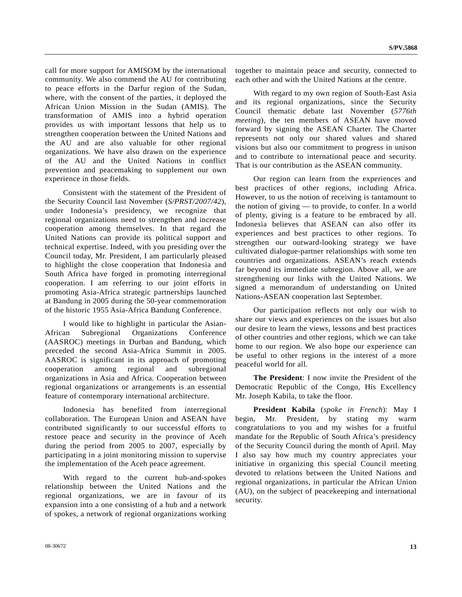call for more support for AMISOM by the international community. We also commend the AU for contributing to peace efforts in the Darfur region of the Sudan, where, with the consent of the parties, it deployed the African Union Mission in the Sudan (AMIS). The transformation of AMIS into a hybrid operation provides us with important lessons that help us to strengthen cooperation between the United Nations and the AU and are also valuable for other regional organizations. We have also drawn on the experience of the AU and the United Nations in conflict prevention and peacemaking to supplement our own experience in those fields.

 Consistent with the statement of the President of the Security Council last November (*S/PRST/2007/42*), under Indonesia's presidency, we recognize that regional organizations need to strengthen and increase cooperation among themselves. In that regard the United Nations can provide its political support and technical expertise. Indeed, with you presiding over the Council today, Mr. President, I am particularly pleased to highlight the close cooperation that Indonesia and South Africa have forged in promoting interregional cooperation. I am referring to our joint efforts in promoting Asia-Africa strategic partnerships launched at Bandung in 2005 during the 50-year commemoration of the historic 1955 Asia-Africa Bandung Conference.

 I would like to highlight in particular the Asian-African Subregional Organizations Conference (AASROC) meetings in Durban and Bandung, which preceded the second Asia-Africa Summit in 2005. AASROC is significant in its approach of promoting cooperation among regional and subregional organizations in Asia and Africa. Cooperation between regional organizations or arrangements is an essential feature of contemporary international architecture.

 Indonesia has benefited from interregional collaboration. The European Union and ASEAN have contributed significantly to our successful efforts to restore peace and security in the province of Aceh during the period from 2005 to 2007, especially by participating in a joint monitoring mission to supervise the implementation of the Aceh peace agreement.

 With regard to the current hub-and-spokes relationship between the United Nations and the regional organizations, we are in favour of its expansion into a one consisting of a hub and a network of spokes, a network of regional organizations working

together to maintain peace and security, connected to each other and with the United Nations at the centre.

 With regard to my own region of South-East Asia and its regional organizations, since the Security Council thematic debate last November (*5776th meeting*), the ten members of ASEAN have moved forward by signing the ASEAN Charter. The Charter represents not only our shared values and shared visions but also our commitment to progress in unison and to contribute to international peace and security. That is our contribution as the ASEAN community.

 Our region can learn from the experiences and best practices of other regions, including Africa. However, to us the notion of receiving is tantamount to the notion of giving — to provide, to confer. In a world of plenty, giving is a feature to be embraced by all. Indonesia believes that ASEAN can also offer its experiences and best practices to other regions. To strengthen our outward-looking strategy we have cultivated dialogue-partner relationships with some ten countries and organizations. ASEAN's reach extends far beyond its immediate subregion. Above all, we are strengthening our links with the United Nations. We signed a memorandum of understanding on United Nations-ASEAN cooperation last September.

 Our participation reflects not only our wish to share our views and experiences on the issues but also our desire to learn the views, lessons and best practices of other countries and other regions, which we can take home to our region. We also hope our experience can be useful to other regions in the interest of a more peaceful world for all.

 **The President**: I now invite the President of the Democratic Republic of the Congo, His Excellency Mr. Joseph Kabila, to take the floor.

**President Kabila** (*spoke in French*): May I begin, Mr. President, by stating my warm congratulations to you and my wishes for a fruitful mandate for the Republic of South Africa's presidency of the Security Council during the month of April. May I also say how much my country appreciates your initiative in organizing this special Council meeting devoted to relations between the United Nations and regional organizations, in particular the African Union (AU), on the subject of peacekeeping and international security.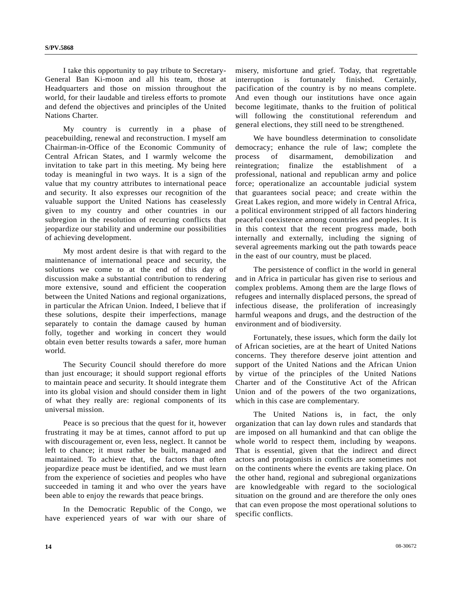I take this opportunity to pay tribute to Secretary-General Ban Ki-moon and all his team, those at Headquarters and those on mission throughout the world, for their laudable and tireless efforts to promote and defend the objectives and principles of the United Nations Charter.

 My country is currently in a phase of peacebuilding, renewal and reconstruction. I myself am Chairman-in-Office of the Economic Community of Central African States, and I warmly welcome the invitation to take part in this meeting. My being here today is meaningful in two ways. It is a sign of the value that my country attributes to international peace and security. It also expresses our recognition of the valuable support the United Nations has ceaselessly given to my country and other countries in our subregion in the resolution of recurring conflicts that jeopardize our stability and undermine our possibilities of achieving development.

 My most ardent desire is that with regard to the maintenance of international peace and security, the solutions we come to at the end of this day of discussion make a substantial contribution to rendering more extensive, sound and efficient the cooperation between the United Nations and regional organizations, in particular the African Union. Indeed, I believe that if these solutions, despite their imperfections, manage separately to contain the damage caused by human folly, together and working in concert they would obtain even better results towards a safer, more human world.

 The Security Council should therefore do more than just encourage; it should support regional efforts to maintain peace and security. It should integrate them into its global vision and should consider them in light of what they really are: regional components of its universal mission.

 Peace is so precious that the quest for it, however frustrating it may be at times, cannot afford to put up with discouragement or, even less, neglect. It cannot be left to chance; it must rather be built, managed and maintained. To achieve that, the factors that often jeopardize peace must be identified, and we must learn from the experience of societies and peoples who have succeeded in taming it and who over the years have been able to enjoy the rewards that peace brings.

 In the Democratic Republic of the Congo, we have experienced years of war with our share of

misery, misfortune and grief. Today, that regrettable interruption is fortunately finished. Certainly, pacification of the country is by no means complete. And even though our institutions have once again become legitimate, thanks to the fruition of political will following the constitutional referendum and general elections, they still need to be strengthened.

 We have boundless determination to consolidate democracy; enhance the rule of law; complete the process of disarmament, demobilization and reintegration; finalize the establishment of a professional, national and republican army and police force; operationalize an accountable judicial system that guarantees social peace; and create within the Great Lakes region, and more widely in Central Africa, a political environment stripped of all factors hindering peaceful coexistence among countries and peoples. It is in this context that the recent progress made, both internally and externally, including the signing of several agreements marking out the path towards peace in the east of our country, must be placed.

 The persistence of conflict in the world in general and in Africa in particular has given rise to serious and complex problems. Among them are the large flows of refugees and internally displaced persons, the spread of infectious disease, the proliferation of increasingly harmful weapons and drugs, and the destruction of the environment and of biodiversity.

 Fortunately, these issues, which form the daily lot of African societies, are at the heart of United Nations concerns. They therefore deserve joint attention and support of the United Nations and the African Union by virtue of the principles of the United Nations Charter and of the Constitutive Act of the African Union and of the powers of the two organizations, which in this case are complementary.

 The United Nations is, in fact, the only organization that can lay down rules and standards that are imposed on all humankind and that can oblige the whole world to respect them, including by weapons. That is essential, given that the indirect and direct actors and protagonists in conflicts are sometimes not on the continents where the events are taking place. On the other hand, regional and subregional organizations are knowledgeable with regard to the sociological situation on the ground and are therefore the only ones that can even propose the most operational solutions to specific conflicts.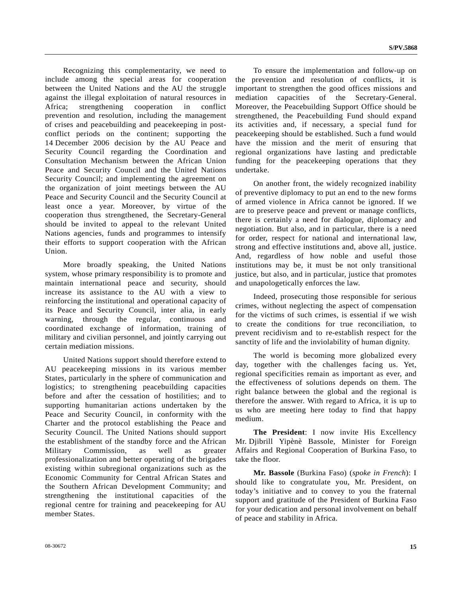Recognizing this complementarity, we need to include among the special areas for cooperation between the United Nations and the AU the struggle against the illegal exploitation of natural resources in Africa; strengthening cooperation in conflict prevention and resolution, including the management of crises and peacebuilding and peacekeeping in postconflict periods on the continent; supporting the 14 December 2006 decision by the AU Peace and Security Council regarding the Coordination and Consultation Mechanism between the African Union Peace and Security Council and the United Nations Security Council; and implementing the agreement on the organization of joint meetings between the AU Peace and Security Council and the Security Council at least once a year. Moreover, by virtue of the cooperation thus strengthened, the Secretary-General should be invited to appeal to the relevant United Nations agencies, funds and programmes to intensify their efforts to support cooperation with the African Union.

 More broadly speaking, the United Nations system, whose primary responsibility is to promote and maintain international peace and security, should increase its assistance to the AU with a view to reinforcing the institutional and operational capacity of its Peace and Security Council, inter alia, in early warning, through the regular, continuous and coordinated exchange of information, training of military and civilian personnel, and jointly carrying out certain mediation missions.

 United Nations support should therefore extend to AU peacekeeping missions in its various member States, particularly in the sphere of communication and logistics; to strengthening peacebuilding capacities before and after the cessation of hostilities; and to supporting humanitarian actions undertaken by the Peace and Security Council, in conformity with the Charter and the protocol establishing the Peace and Security Council. The United Nations should support the establishment of the standby force and the African Military Commission, as well as greater professionalization and better operating of the brigades existing within subregional organizations such as the Economic Community for Central African States and the Southern African Development Community; and strengthening the institutional capacities of the regional centre for training and peacekeeping for AU member States.

 To ensure the implementation and follow-up on the prevention and resolution of conflicts, it is important to strengthen the good offices missions and mediation capacities of the Secretary-General. Moreover, the Peacebuilding Support Office should be strengthened, the Peacebuilding Fund should expand its activities and, if necessary, a special fund for peacekeeping should be established. Such a fund would have the mission and the merit of ensuring that regional organizations have lasting and predictable funding for the peacekeeping operations that they undertake.

 On another front, the widely recognized inability of preventive diplomacy to put an end to the new forms of armed violence in Africa cannot be ignored. If we are to preserve peace and prevent or manage conflicts, there is certainly a need for dialogue, diplomacy and negotiation. But also, and in particular, there is a need for order, respect for national and international law, strong and effective institutions and, above all, justice. And, regardless of how noble and useful those institutions may be, it must be not only transitional justice, but also, and in particular, justice that promotes and unapologetically enforces the law.

 Indeed, prosecuting those responsible for serious crimes, without neglecting the aspect of compensation for the victims of such crimes, is essential if we wish to create the conditions for true reconciliation, to prevent recidivism and to re-establish respect for the sanctity of life and the inviolability of human dignity.

 The world is becoming more globalized every day, together with the challenges facing us. Yet, regional specificities remain as important as ever, and the effectiveness of solutions depends on them. The right balance between the global and the regional is therefore the answer. With regard to Africa, it is up to us who are meeting here today to find that happy medium.

**The President**: I now invite His Excellency Mr. Djibrill Yipènè Bassole, Minister for Foreign Affairs and Regional Cooperation of Burkina Faso, to take the floor.

**Mr. Bassole** (Burkina Faso) (*spoke in French*): I should like to congratulate you, Mr. President, on today's initiative and to convey to you the fraternal support and gratitude of the President of Burkina Faso for your dedication and personal involvement on behalf of peace and stability in Africa.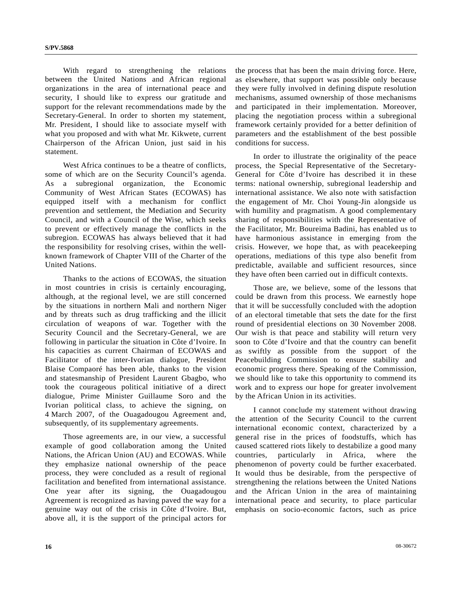With regard to strengthening the relations between the United Nations and African regional organizations in the area of international peace and security, I should like to express our gratitude and support for the relevant recommendations made by the Secretary-General. In order to shorten my statement, Mr. President, I should like to associate myself with what you proposed and with what Mr. Kikwete, current Chairperson of the African Union, just said in his statement.

West Africa continues to be a theatre of conflicts. some of which are on the Security Council's agenda. As a subregional organization, the Economic Community of West African States (ECOWAS) has equipped itself with a mechanism for conflict prevention and settlement, the Mediation and Security Council, and with a Council of the Wise, which seeks to prevent or effectively manage the conflicts in the subregion. ECOWAS has always believed that it had the responsibility for resolving crises, within the wellknown framework of Chapter VIII of the Charter of the United Nations.

 Thanks to the actions of ECOWAS, the situation in most countries in crisis is certainly encouraging, although, at the regional level, we are still concerned by the situations in northern Mali and northern Niger and by threats such as drug trafficking and the illicit circulation of weapons of war. Together with the Security Council and the Secretary-General, we are following in particular the situation in Côte d'Ivoire. In his capacities as current Chairman of ECOWAS and Facilitator of the inter-Ivorian dialogue, President Blaise Compaoré has been able, thanks to the vision and statesmanship of President Laurent Gbagbo, who took the courageous political initiative of a direct dialogue, Prime Minister Guillaume Soro and the Ivorian political class, to achieve the signing, on 4 March 2007, of the Ouagadougou Agreement and, subsequently, of its supplementary agreements.

 Those agreements are, in our view, a successful example of good collaboration among the United Nations, the African Union (AU) and ECOWAS. While they emphasize national ownership of the peace process, they were concluded as a result of regional facilitation and benefited from international assistance. One year after its signing, the Ouagadougou Agreement is recognized as having paved the way for a genuine way out of the crisis in Côte d'Ivoire. But, above all, it is the support of the principal actors for

the process that has been the main driving force. Here, as elsewhere, that support was possible only because they were fully involved in defining dispute resolution mechanisms, assumed ownership of those mechanisms and participated in their implementation. Moreover, placing the negotiation process within a subregional framework certainly provided for a better definition of parameters and the establishment of the best possible conditions for success.

 In order to illustrate the originality of the peace process, the Special Representative of the Secretary-General for Côte d'Ivoire has described it in these terms: national ownership, subregional leadership and international assistance. We also note with satisfaction the engagement of Mr. Choi Young-Jin alongside us with humility and pragmatism. A good complementary sharing of responsibilities with the Representative of the Facilitator, Mr. Boureima Badini, has enabled us to have harmonious assistance in emerging from the crisis. However, we hope that, as with peacekeeping operations, mediations of this type also benefit from predictable, available and sufficient resources, since they have often been carried out in difficult contexts.

 Those are, we believe, some of the lessons that could be drawn from this process. We earnestly hope that it will be successfully concluded with the adoption of an electoral timetable that sets the date for the first round of presidential elections on 30 November 2008. Our wish is that peace and stability will return very soon to Côte d'Ivoire and that the country can benefit as swiftly as possible from the support of the Peacebuilding Commission to ensure stability and economic progress there. Speaking of the Commission, we should like to take this opportunity to commend its work and to express our hope for greater involvement by the African Union in its activities.

 I cannot conclude my statement without drawing the attention of the Security Council to the current international economic context, characterized by a general rise in the prices of foodstuffs, which has caused scattered riots likely to destabilize a good many countries, particularly in Africa, where the phenomenon of poverty could be further exacerbated. It would thus be desirable, from the perspective of strengthening the relations between the United Nations and the African Union in the area of maintaining international peace and security, to place particular emphasis on socio-economic factors, such as price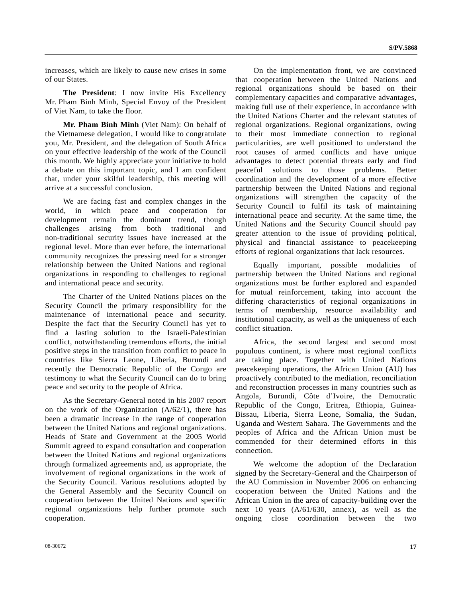increases, which are likely to cause new crises in some of our States.

 **The President**: I now invite His Excellency Mr. Pham Binh Minh, Special Envoy of the President of Viet Nam, to take the floor.

**Mr. Pham Binh Minh** (Viet Nam): On behalf of the Vietnamese delegation, I would like to congratulate you, Mr. President, and the delegation of South Africa on your effective leadership of the work of the Council this month. We highly appreciate your initiative to hold a debate on this important topic, and I am confident that, under your skilful leadership, this meeting will arrive at a successful conclusion.

 We are facing fast and complex changes in the world, in which peace and cooperation for development remain the dominant trend, though challenges arising from both traditional and non-traditional security issues have increased at the regional level. More than ever before, the international community recognizes the pressing need for a stronger relationship between the United Nations and regional organizations in responding to challenges to regional and international peace and security.

 The Charter of the United Nations places on the Security Council the primary responsibility for the maintenance of international peace and security. Despite the fact that the Security Council has yet to find a lasting solution to the Israeli-Palestinian conflict, notwithstanding tremendous efforts, the initial positive steps in the transition from conflict to peace in countries like Sierra Leone, Liberia, Burundi and recently the Democratic Republic of the Congo are testimony to what the Security Council can do to bring peace and security to the people of Africa.

 As the Secretary-General noted in his 2007 report on the work of the Organization  $(A/62/1)$ , there has been a dramatic increase in the range of cooperation between the United Nations and regional organizations. Heads of State and Government at the 2005 World Summit agreed to expand consultation and cooperation between the United Nations and regional organizations through formalized agreements and, as appropriate, the involvement of regional organizations in the work of the Security Council. Various resolutions adopted by the General Assembly and the Security Council on cooperation between the United Nations and specific regional organizations help further promote such cooperation.

 On the implementation front, we are convinced that cooperation between the United Nations and regional organizations should be based on their complementary capacities and comparative advantages, making full use of their experience, in accordance with the United Nations Charter and the relevant statutes of regional organizations. Regional organizations, owing to their most immediate connection to regional particularities, are well positioned to understand the root causes of armed conflicts and have unique advantages to detect potential threats early and find peaceful solutions to those problems. Better coordination and the development of a more effective partnership between the United Nations and regional organizations will strengthen the capacity of the Security Council to fulfil its task of maintaining international peace and security. At the same time, the United Nations and the Security Council should pay greater attention to the issue of providing political, physical and financial assistance to peacekeeping efforts of regional organizations that lack resources.

 Equally important, possible modalities of partnership between the United Nations and regional organizations must be further explored and expanded for mutual reinforcement, taking into account the differing characteristics of regional organizations in terms of membership, resource availability and institutional capacity, as well as the uniqueness of each conflict situation.

 Africa, the second largest and second most populous continent, is where most regional conflicts are taking place. Together with United Nations peacekeeping operations, the African Union (AU) has proactively contributed to the mediation, reconciliation and reconstruction processes in many countries such as Angola, Burundi, Côte d'Ivoire, the Democratic Republic of the Congo, Eritrea, Ethiopia, Guinea-Bissau, Liberia, Sierra Leone, Somalia, the Sudan, Uganda and Western Sahara. The Governments and the peoples of Africa and the African Union must be commended for their determined efforts in this connection.

 We welcome the adoption of the Declaration signed by the Secretary-General and the Chairperson of the AU Commission in November 2006 on enhancing cooperation between the United Nations and the African Union in the area of capacity-building over the next 10 years (A/61/630, annex), as well as the ongoing close coordination between the two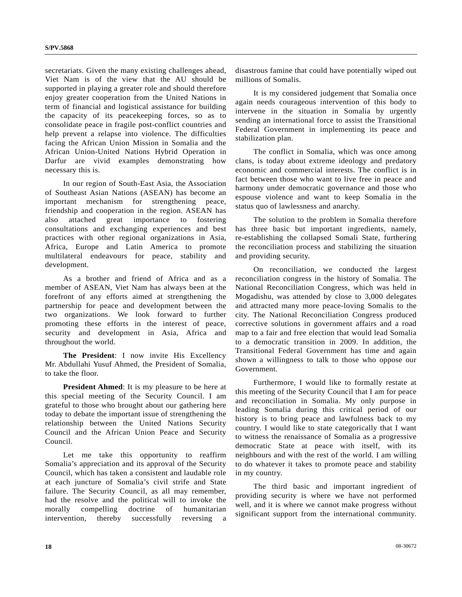secretariats. Given the many existing challenges ahead, Viet Nam is of the view that the AU should be supported in playing a greater role and should therefore enjoy greater cooperation from the United Nations in term of financial and logistical assistance for building the capacity of its peacekeeping forces, so as to consolidate peace in fragile post-conflict countries and help prevent a relapse into violence. The difficulties facing the African Union Mission in Somalia and the African Union-United Nations Hybrid Operation in Darfur are vivid examples demonstrating how necessary this is.

 In our region of South-East Asia, the Association of Southeast Asian Nations (ASEAN) has become an important mechanism for strengthening peace, friendship and cooperation in the region. ASEAN has also attached great importance to fostering consultations and exchanging experiences and best practices with other regional organizations in Asia, Africa, Europe and Latin America to promote multilateral endeavours for peace, stability and development.

 As a brother and friend of Africa and as a member of ASEAN, Viet Nam has always been at the forefront of any efforts aimed at strengthening the partnership for peace and development between the two organizations. We look forward to further promoting these efforts in the interest of peace, security and development in Asia, Africa and throughout the world.

**The President**: I now invite His Excellency Mr. Abdullahi Yusuf Ahmed, the President of Somalia, to take the floor.

**President Ahmed:** It is my pleasure to be here at this special meeting of the Security Council. I am grateful to those who brought about our gathering here today to debate the important issue of strengthening the relationship between the United Nations Security Council and the African Union Peace and Security Council.

 Let me take this opportunity to reaffirm Somalia's appreciation and its approval of the Security Council, which has taken a consistent and laudable role at each juncture of Somalia's civil strife and State failure. The Security Council, as all may remember, had the resolve and the political will to invoke the morally compelling doctrine of humanitarian intervention, thereby successfully reversing a

disastrous famine that could have potentially wiped out millions of Somalis.

 It is my considered judgement that Somalia once again needs courageous intervention of this body to intervene in the situation in Somalia by urgently sending an international force to assist the Transitional Federal Government in implementing its peace and stabilization plan.

 The conflict in Somalia, which was once among clans, is today about extreme ideology and predatory economic and commercial interests. The conflict is in fact between those who want to live free in peace and harmony under democratic governance and those who espouse violence and want to keep Somalia in the status quo of lawlessness and anarchy.

 The solution to the problem in Somalia therefore has three basic but important ingredients, namely, re-establishing the collapsed Somali State, furthering the reconciliation process and stabilizing the situation and providing security.

 On reconciliation, we conducted the largest reconciliation congress in the history of Somalia. The National Reconciliation Congress, which was held in Mogadishu, was attended by close to 3,000 delegates and attracted many more peace-loving Somalis to the city. The National Reconciliation Congress produced corrective solutions in government affairs and a road map to a fair and free election that would lead Somalia to a democratic transition in 2009. In addition, the Transitional Federal Government has time and again shown a willingness to talk to those who oppose our Government.

 Furthermore, I would like to formally restate at this meeting of the Security Council that I am for peace and reconciliation in Somalia. My only purpose in leading Somalia during this critical period of our history is to bring peace and lawfulness back to my country. I would like to state categorically that I want to witness the renaissance of Somalia as a progressive democratic State at peace with itself, with its neighbours and with the rest of the world. I am willing to do whatever it takes to promote peace and stability in my country.

 The third basic and important ingredient of providing security is where we have not performed well, and it is where we cannot make progress without significant support from the international community.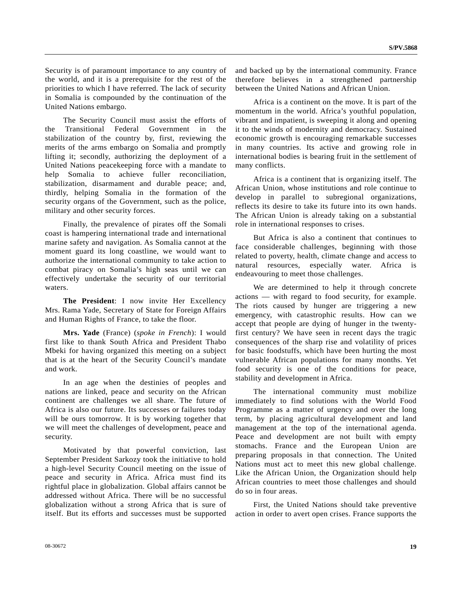Security is of paramount importance to any country of the world, and it is a prerequisite for the rest of the priorities to which I have referred. The lack of security in Somalia is compounded by the continuation of the United Nations embargo.

 The Security Council must assist the efforts of the Transitional Federal Government in the stabilization of the country by, first, reviewing the merits of the arms embargo on Somalia and promptly lifting it; secondly, authorizing the deployment of a United Nations peacekeeping force with a mandate to help Somalia to achieve fuller reconciliation, stabilization, disarmament and durable peace; and, thirdly, helping Somalia in the formation of the security organs of the Government, such as the police, military and other security forces.

 Finally, the prevalence of pirates off the Somali coast is hampering international trade and international marine safety and navigation. As Somalia cannot at the moment guard its long coastline, we would want to authorize the international community to take action to combat piracy on Somalia's high seas until we can effectively undertake the security of our territorial waters.

**The President**: I now invite Her Excellency Mrs. Rama Yade, Secretary of State for Foreign Affairs and Human Rights of France, to take the floor.

**Mrs. Yade** (France) (*spoke in French*): I would first like to thank South Africa and President Thabo Mbeki for having organized this meeting on a subject that is at the heart of the Security Council's mandate and work.

 In an age when the destinies of peoples and nations are linked, peace and security on the African continent are challenges we all share. The future of Africa is also our future. Its successes or failures today will be ours tomorrow. It is by working together that we will meet the challenges of development, peace and security.

 Motivated by that powerful conviction, last September President Sarkozy took the initiative to hold a high-level Security Council meeting on the issue of peace and security in Africa. Africa must find its rightful place in globalization. Global affairs cannot be addressed without Africa. There will be no successful globalization without a strong Africa that is sure of itself. But its efforts and successes must be supported

and backed up by the international community. France therefore believes in a strengthened partnership between the United Nations and African Union.

 Africa is a continent on the move. It is part of the momentum in the world. Africa's youthful population, vibrant and impatient, is sweeping it along and opening it to the winds of modernity and democracy. Sustained economic growth is encouraging remarkable successes in many countries. Its active and growing role in international bodies is bearing fruit in the settlement of many conflicts.

 Africa is a continent that is organizing itself. The African Union, whose institutions and role continue to develop in parallel to subregional organizations, reflects its desire to take its future into its own hands. The African Union is already taking on a substantial role in international responses to crises.

 But Africa is also a continent that continues to face considerable challenges, beginning with those related to poverty, health, climate change and access to natural resources, especially water. Africa is endeavouring to meet those challenges.

 We are determined to help it through concrete actions — with regard to food security, for example. The riots caused by hunger are triggering a new emergency, with catastrophic results. How can we accept that people are dying of hunger in the twentyfirst century? We have seen in recent days the tragic consequences of the sharp rise and volatility of prices for basic foodstuffs, which have been hurting the most vulnerable African populations for many months. Yet food security is one of the conditions for peace, stability and development in Africa.

 The international community must mobilize immediately to find solutions with the World Food Programme as a matter of urgency and over the long term, by placing agricultural development and land management at the top of the international agenda. Peace and development are not built with empty stomachs. France and the European Union are preparing proposals in that connection. The United Nations must act to meet this new global challenge. Like the African Union, the Organization should help African countries to meet those challenges and should do so in four areas.

 First, the United Nations should take preventive action in order to avert open crises. France supports the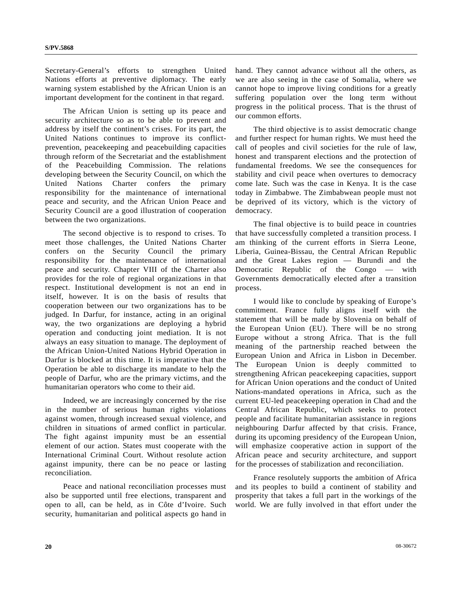Secretary-General's efforts to strengthen United Nations efforts at preventive diplomacy. The early warning system established by the African Union is an important development for the continent in that regard.

 The African Union is setting up its peace and security architecture so as to be able to prevent and address by itself the continent's crises. For its part, the United Nations continues to improve its conflictprevention, peacekeeping and peacebuilding capacities through reform of the Secretariat and the establishment of the Peacebuilding Commission. The relations developing between the Security Council, on which the United Nations Charter confers the primary responsibility for the maintenance of international peace and security, and the African Union Peace and Security Council are a good illustration of cooperation between the two organizations.

 The second objective is to respond to crises. To meet those challenges, the United Nations Charter confers on the Security Council the primary responsibility for the maintenance of international peace and security. Chapter VIII of the Charter also provides for the role of regional organizations in that respect. Institutional development is not an end in itself, however. It is on the basis of results that cooperation between our two organizations has to be judged. In Darfur, for instance, acting in an original way, the two organizations are deploying a hybrid operation and conducting joint mediation. It is not always an easy situation to manage. The deployment of the African Union-United Nations Hybrid Operation in Darfur is blocked at this time. It is imperative that the Operation be able to discharge its mandate to help the people of Darfur, who are the primary victims, and the humanitarian operators who come to their aid.

 Indeed, we are increasingly concerned by the rise in the number of serious human rights violations against women, through increased sexual violence, and children in situations of armed conflict in particular. The fight against impunity must be an essential element of our action. States must cooperate with the International Criminal Court. Without resolute action against impunity, there can be no peace or lasting reconciliation.

 Peace and national reconciliation processes must also be supported until free elections, transparent and open to all, can be held, as in Côte d'Ivoire. Such security, humanitarian and political aspects go hand in hand. They cannot advance without all the others, as we are also seeing in the case of Somalia, where we cannot hope to improve living conditions for a greatly suffering population over the long term without progress in the political process. That is the thrust of our common efforts.

 The third objective is to assist democratic change and further respect for human rights. We must heed the call of peoples and civil societies for the rule of law, honest and transparent elections and the protection of fundamental freedoms. We see the consequences for stability and civil peace when overtures to democracy come late. Such was the case in Kenya. It is the case today in Zimbabwe. The Zimbabwean people must not be deprived of its victory, which is the victory of democracy.

 The final objective is to build peace in countries that have successfully completed a transition process. I am thinking of the current efforts in Sierra Leone, Liberia, Guinea-Bissau, the Central African Republic and the Great Lakes region — Burundi and the Democratic Republic of the Congo — with Governments democratically elected after a transition process.

 I would like to conclude by speaking of Europe's commitment. France fully aligns itself with the statement that will be made by Slovenia on behalf of the European Union (EU). There will be no strong Europe without a strong Africa. That is the full meaning of the partnership reached between the European Union and Africa in Lisbon in December. The European Union is deeply committed to strengthening African peacekeeping capacities, support for African Union operations and the conduct of United Nations-mandated operations in Africa, such as the current EU-led peacekeeping operation in Chad and the Central African Republic, which seeks to protect people and facilitate humanitarian assistance in regions neighbouring Darfur affected by that crisis. France, during its upcoming presidency of the European Union, will emphasize cooperative action in support of the African peace and security architecture, and support for the processes of stabilization and reconciliation.

 France resolutely supports the ambition of Africa and its peoples to build a continent of stability and prosperity that takes a full part in the workings of the world. We are fully involved in that effort under the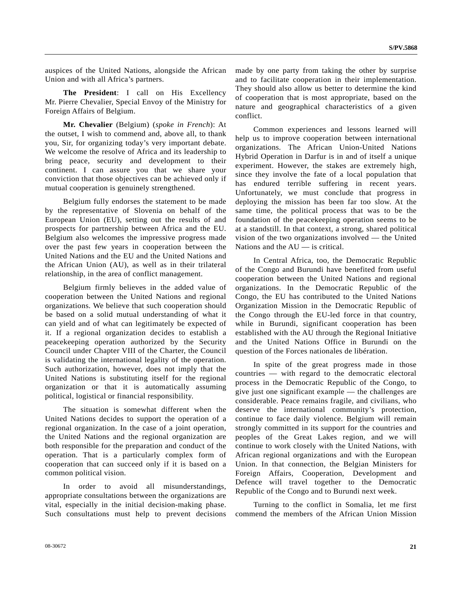auspices of the United Nations, alongside the African Union and with all Africa's partners.

**The President**: I call on His Excellency Mr. Pierre Chevalier, Special Envoy of the Ministry for Foreign Affairs of Belgium.

**Mr. Chevalier** (Belgium) (*spoke in French*): At the outset, I wish to commend and, above all, to thank you, Sir, for organizing today's very important debate. We welcome the resolve of Africa and its leadership to bring peace, security and development to their continent. I can assure you that we share your conviction that those objectives can be achieved only if mutual cooperation is genuinely strengthened.

 Belgium fully endorses the statement to be made by the representative of Slovenia on behalf of the European Union (EU), setting out the results of and prospects for partnership between Africa and the EU. Belgium also welcomes the impressive progress made over the past few years in cooperation between the United Nations and the EU and the United Nations and the African Union (AU), as well as in their trilateral relationship, in the area of conflict management.

 Belgium firmly believes in the added value of cooperation between the United Nations and regional organizations. We believe that such cooperation should be based on a solid mutual understanding of what it can yield and of what can legitimately be expected of it. If a regional organization decides to establish a peacekeeping operation authorized by the Security Council under Chapter VIII of the Charter, the Council is validating the international legality of the operation. Such authorization, however, does not imply that the United Nations is substituting itself for the regional organization or that it is automatically assuming political, logistical or financial responsibility.

 The situation is somewhat different when the United Nations decides to support the operation of a regional organization. In the case of a joint operation, the United Nations and the regional organization are both responsible for the preparation and conduct of the operation. That is a particularly complex form of cooperation that can succeed only if it is based on a common political vision.

 In order to avoid all misunderstandings, appropriate consultations between the organizations are vital, especially in the initial decision-making phase. Such consultations must help to prevent decisions made by one party from taking the other by surprise and to facilitate cooperation in their implementation. They should also allow us better to determine the kind of cooperation that is most appropriate, based on the nature and geographical characteristics of a given conflict.

 Common experiences and lessons learned will help us to improve cooperation between international organizations. The African Union-United Nations Hybrid Operation in Darfur is in and of itself a unique experiment. However, the stakes are extremely high, since they involve the fate of a local population that has endured terrible suffering in recent years. Unfortunately, we must conclude that progress in deploying the mission has been far too slow. At the same time, the political process that was to be the foundation of the peacekeeping operation seems to be at a standstill. In that context, a strong, shared political vision of the two organizations involved — the United Nations and the AU — is critical.

 In Central Africa, too, the Democratic Republic of the Congo and Burundi have benefited from useful cooperation between the United Nations and regional organizations. In the Democratic Republic of the Congo, the EU has contributed to the United Nations Organization Mission in the Democratic Republic of the Congo through the EU-led force in that country, while in Burundi, significant cooperation has been established with the AU through the Regional Initiative and the United Nations Office in Burundi on the question of the Forces nationales de libération.

 In spite of the great progress made in those countries — with regard to the democratic electoral process in the Democratic Republic of the Congo, to give just one significant example — the challenges are considerable. Peace remains fragile, and civilians, who deserve the international community's protection, continue to face daily violence. Belgium will remain strongly committed in its support for the countries and peoples of the Great Lakes region, and we will continue to work closely with the United Nations, with African regional organizations and with the European Union. In that connection, the Belgian Ministers for Foreign Affairs, Cooperation, Development and Defence will travel together to the Democratic Republic of the Congo and to Burundi next week.

 Turning to the conflict in Somalia, let me first commend the members of the African Union Mission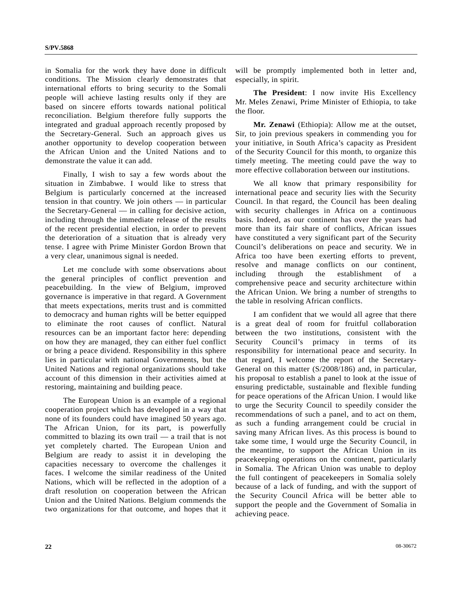in Somalia for the work they have done in difficult conditions. The Mission clearly demonstrates that international efforts to bring security to the Somali people will achieve lasting results only if they are based on sincere efforts towards national political reconciliation. Belgium therefore fully supports the integrated and gradual approach recently proposed by the Secretary-General. Such an approach gives us another opportunity to develop cooperation between the African Union and the United Nations and to demonstrate the value it can add.

 Finally, I wish to say a few words about the situation in Zimbabwe. I would like to stress that Belgium is particularly concerned at the increased tension in that country. We join others — in particular the Secretary-General — in calling for decisive action, including through the immediate release of the results of the recent presidential election, in order to prevent the deterioration of a situation that is already very tense. I agree with Prime Minister Gordon Brown that a very clear, unanimous signal is needed.

 Let me conclude with some observations about the general principles of conflict prevention and peacebuilding. In the view of Belgium, improved governance is imperative in that regard. A Government that meets expectations, merits trust and is committed to democracy and human rights will be better equipped to eliminate the root causes of conflict. Natural resources can be an important factor here: depending on how they are managed, they can either fuel conflict or bring a peace dividend. Responsibility in this sphere lies in particular with national Governments, but the United Nations and regional organizations should take account of this dimension in their activities aimed at restoring, maintaining and building peace.

 The European Union is an example of a regional cooperation project which has developed in a way that none of its founders could have imagined 50 years ago. The African Union, for its part, is powerfully committed to blazing its own trail — a trail that is not yet completely charted. The European Union and Belgium are ready to assist it in developing the capacities necessary to overcome the challenges it faces. I welcome the similar readiness of the United Nations, which will be reflected in the adoption of a draft resolution on cooperation between the African Union and the United Nations. Belgium commends the two organizations for that outcome, and hopes that it

will be promptly implemented both in letter and, especially, in spirit.

**The President**: I now invite His Excellency Mr. Meles Zenawi, Prime Minister of Ethiopia, to take the floor.

**Mr. Zenawi** (Ethiopia): Allow me at the outset, Sir, to join previous speakers in commending you for your initiative, in South Africa's capacity as President of the Security Council for this month, to organize this timely meeting. The meeting could pave the way to more effective collaboration between our institutions.

 We all know that primary responsibility for international peace and security lies with the Security Council. In that regard, the Council has been dealing with security challenges in Africa on a continuous basis. Indeed, as our continent has over the years had more than its fair share of conflicts, African issues have constituted a very significant part of the Security Council's deliberations on peace and security. We in Africa too have been exerting efforts to prevent, resolve and manage conflicts on our continent, including through the establishment of a comprehensive peace and security architecture within the African Union. We bring a number of strengths to the table in resolving African conflicts.

 I am confident that we would all agree that there is a great deal of room for fruitful collaboration between the two institutions, consistent with the Security Council's primacy in terms of its responsibility for international peace and security. In that regard, I welcome the report of the Secretary-General on this matter (S/2008/186) and, in particular, his proposal to establish a panel to look at the issue of ensuring predictable, sustainable and flexible funding for peace operations of the African Union. I would like to urge the Security Council to speedily consider the recommendations of such a panel, and to act on them, as such a funding arrangement could be crucial in saving many African lives. As this process is bound to take some time, I would urge the Security Council, in the meantime, to support the African Union in its peacekeeping operations on the continent, particularly in Somalia. The African Union was unable to deploy the full contingent of peacekeepers in Somalia solely because of a lack of funding, and with the support of the Security Council Africa will be better able to support the people and the Government of Somalia in achieving peace.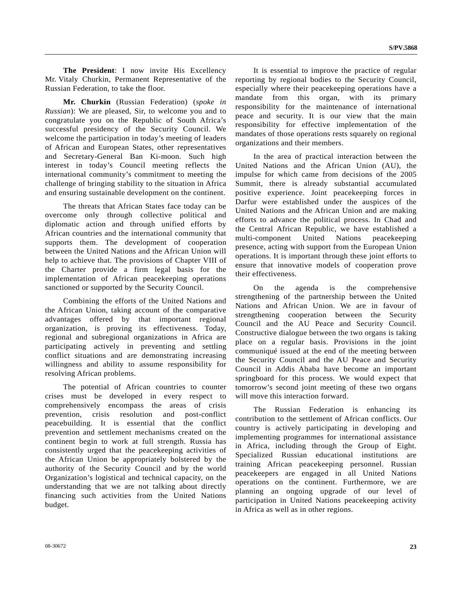**The President**: I now invite His Excellency Mr. Vitaly Churkin, Permanent Representative of the Russian Federation, to take the floor.

**Mr. Churkin** (Russian Federation) (*spoke in Russian*): We are pleased, Sir, to welcome you and to congratulate you on the Republic of South Africa's successful presidency of the Security Council. We welcome the participation in today's meeting of leaders of African and European States, other representatives and Secretary-General Ban Ki-moon. Such high interest in today's Council meeting reflects the international community's commitment to meeting the challenge of bringing stability to the situation in Africa and ensuring sustainable development on the continent.

 The threats that African States face today can be overcome only through collective political and diplomatic action and through unified efforts by African countries and the international community that supports them. The development of cooperation between the United Nations and the African Union will help to achieve that. The provisions of Chapter VIII of the Charter provide a firm legal basis for the implementation of African peacekeeping operations sanctioned or supported by the Security Council.

 Combining the efforts of the United Nations and the African Union, taking account of the comparative advantages offered by that important regional organization, is proving its effectiveness. Today, regional and subregional organizations in Africa are participating actively in preventing and settling conflict situations and are demonstrating increasing willingness and ability to assume responsibility for resolving African problems.

 The potential of African countries to counter crises must be developed in every respect to comprehensively encompass the areas of crisis prevention, crisis resolution and post-conflict peacebuilding. It is essential that the conflict prevention and settlement mechanisms created on the continent begin to work at full strength. Russia has consistently urged that the peacekeeping activities of the African Union be appropriately bolstered by the authority of the Security Council and by the world Organization's logistical and technical capacity, on the understanding that we are not talking about directly financing such activities from the United Nations budget.

 It is essential to improve the practice of regular reporting by regional bodies to the Security Council, especially where their peacekeeping operations have a mandate from this organ, with its primary responsibility for the maintenance of international peace and security. It is our view that the main responsibility for effective implementation of the mandates of those operations rests squarely on regional organizations and their members.

 In the area of practical interaction between the United Nations and the African Union (AU), the impulse for which came from decisions of the 2005 Summit, there is already substantial accumulated positive experience. Joint peacekeeping forces in Darfur were established under the auspices of the United Nations and the African Union and are making efforts to advance the political process. In Chad and the Central African Republic, we have established a multi-component United Nations peacekeeping presence, acting with support from the European Union operations. It is important through these joint efforts to ensure that innovative models of cooperation prove their effectiveness.

 On the agenda is the comprehensive strengthening of the partnership between the United Nations and African Union. We are in favour of strengthening cooperation between the Security Council and the AU Peace and Security Council. Constructive dialogue between the two organs is taking place on a regular basis. Provisions in the joint communiqué issued at the end of the meeting between the Security Council and the AU Peace and Security Council in Addis Ababa have become an important springboard for this process. We would expect that tomorrow's second joint meeting of these two organs will move this interaction forward.

 The Russian Federation is enhancing its contribution to the settlement of African conflicts. Our country is actively participating in developing and implementing programmes for international assistance in Africa, including through the Group of Eight. Specialized Russian educational institutions are training African peacekeeping personnel. Russian peacekeepers are engaged in all United Nations operations on the continent. Furthermore, we are planning an ongoing upgrade of our level of participation in United Nations peacekeeping activity in Africa as well as in other regions.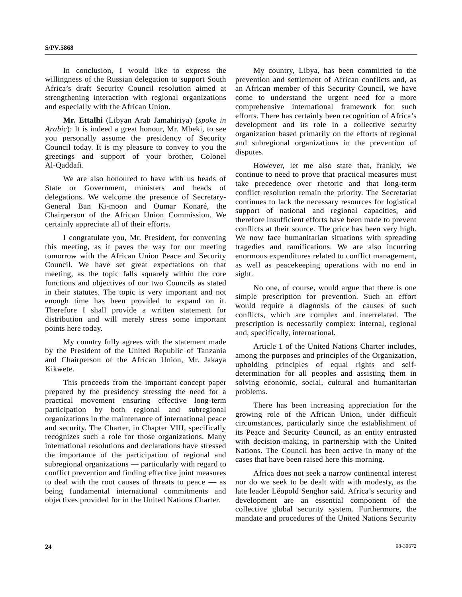In conclusion, I would like to express the willingness of the Russian delegation to support South Africa's draft Security Council resolution aimed at strengthening interaction with regional organizations and especially with the African Union.

**Mr. Ettalhi** (Libyan Arab Jamahiriya) (*spoke in Arabic*): It is indeed a great honour, Mr. Mbeki, to see you personally assume the presidency of Security Council today. It is my pleasure to convey to you the greetings and support of your brother, Colonel Al-Qaddafi.

 We are also honoured to have with us heads of State or Government, ministers and heads of delegations. We welcome the presence of Secretary-General Ban Ki-moon and Oumar Konaré, the Chairperson of the African Union Commission. We certainly appreciate all of their efforts.

 I congratulate you, Mr. President, for convening this meeting, as it paves the way for our meeting tomorrow with the African Union Peace and Security Council. We have set great expectations on that meeting, as the topic falls squarely within the core functions and objectives of our two Councils as stated in their statutes. The topic is very important and not enough time has been provided to expand on it. Therefore I shall provide a written statement for distribution and will merely stress some important points here today.

 My country fully agrees with the statement made by the President of the United Republic of Tanzania and Chairperson of the African Union, Mr. Jakaya Kikwete.

 This proceeds from the important concept paper prepared by the presidency stressing the need for a practical movement ensuring effective long-term participation by both regional and subregional organizations in the maintenance of international peace and security. The Charter, in Chapter VIII, specifically recognizes such a role for those organizations. Many international resolutions and declarations have stressed the importance of the participation of regional and subregional organizations — particularly with regard to conflict prevention and finding effective joint measures to deal with the root causes of threats to peace — as being fundamental international commitments and objectives provided for in the United Nations Charter.

 My country, Libya, has been committed to the prevention and settlement of African conflicts and, as an African member of this Security Council, we have come to understand the urgent need for a more comprehensive international framework for such efforts. There has certainly been recognition of Africa's development and its role in a collective security organization based primarily on the efforts of regional and subregional organizations in the prevention of disputes.

 However, let me also state that, frankly, we continue to need to prove that practical measures must take precedence over rhetoric and that long-term conflict resolution remain the priority. The Secretariat continues to lack the necessary resources for logistical support of national and regional capacities, and therefore insufficient efforts have been made to prevent conflicts at their source. The price has been very high. We now face humanitarian situations with spreading tragedies and ramifications. We are also incurring enormous expenditures related to conflict management, as well as peacekeeping operations with no end in sight.

 No one, of course, would argue that there is one simple prescription for prevention. Such an effort would require a diagnosis of the causes of such conflicts, which are complex and interrelated. The prescription is necessarily complex: internal, regional and, specifically, international.

 Article 1 of the United Nations Charter includes, among the purposes and principles of the Organization, upholding principles of equal rights and selfdetermination for all peoples and assisting them in solving economic, social, cultural and humanitarian problems.

 There has been increasing appreciation for the growing role of the African Union, under difficult circumstances, particularly since the establishment of its Peace and Security Council, as an entity entrusted with decision-making, in partnership with the United Nations. The Council has been active in many of the cases that have been raised here this morning.

 Africa does not seek a narrow continental interest nor do we seek to be dealt with with modesty, as the late leader Léopold Senghor said. Africa's security and development are an essential component of the collective global security system. Furthermore, the mandate and procedures of the United Nations Security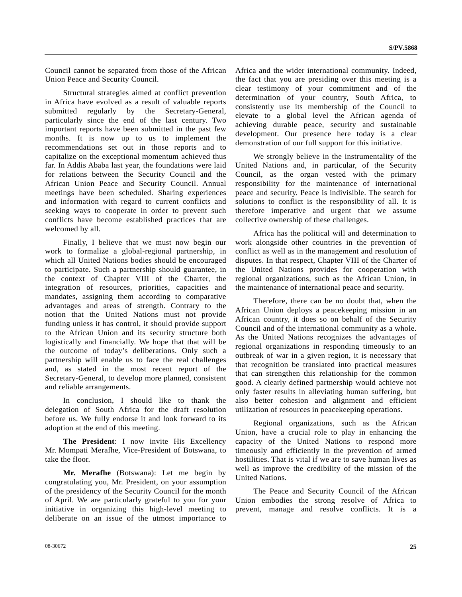Council cannot be separated from those of the African Union Peace and Security Council.

 Structural strategies aimed at conflict prevention in Africa have evolved as a result of valuable reports submitted regularly by the Secretary-General, particularly since the end of the last century. Two important reports have been submitted in the past few months. It is now up to us to implement the recommendations set out in those reports and to capitalize on the exceptional momentum achieved thus far. In Addis Ababa last year, the foundations were laid for relations between the Security Council and the African Union Peace and Security Council. Annual meetings have been scheduled. Sharing experiences and information with regard to current conflicts and seeking ways to cooperate in order to prevent such conflicts have become established practices that are welcomed by all.

 Finally, I believe that we must now begin our work to formalize a global-regional partnership, in which all United Nations bodies should be encouraged to participate. Such a partnership should guarantee, in the context of Chapter VIII of the Charter, the integration of resources, priorities, capacities and mandates, assigning them according to comparative advantages and areas of strength. Contrary to the notion that the United Nations must not provide funding unless it has control, it should provide support to the African Union and its security structure both logistically and financially. We hope that that will be the outcome of today's deliberations. Only such a partnership will enable us to face the real challenges and, as stated in the most recent report of the Secretary-General, to develop more planned, consistent and reliable arrangements.

 In conclusion, I should like to thank the delegation of South Africa for the draft resolution before us. We fully endorse it and look forward to its adoption at the end of this meeting.

**The President**: I now invite His Excellency Mr. Mompati Merafhe, Vice-President of Botswana, to take the floor.

**Mr. Merafhe** (Botswana): Let me begin by congratulating you, Mr. President, on your assumption of the presidency of the Security Council for the month of April. We are particularly grateful to you for your initiative in organizing this high-level meeting to deliberate on an issue of the utmost importance to Africa and the wider international community. Indeed, the fact that you are presiding over this meeting is a clear testimony of your commitment and of the determination of your country, South Africa, to consistently use its membership of the Council to elevate to a global level the African agenda of achieving durable peace, security and sustainable development. Our presence here today is a clear demonstration of our full support for this initiative.

 We strongly believe in the instrumentality of the United Nations and, in particular, of the Security Council, as the organ vested with the primary responsibility for the maintenance of international peace and security. Peace is indivisible. The search for solutions to conflict is the responsibility of all. It is therefore imperative and urgent that we assume collective ownership of these challenges.

 Africa has the political will and determination to work alongside other countries in the prevention of conflict as well as in the management and resolution of disputes. In that respect, Chapter VIII of the Charter of the United Nations provides for cooperation with regional organizations, such as the African Union, in the maintenance of international peace and security.

 Therefore, there can be no doubt that, when the African Union deploys a peacekeeping mission in an African country, it does so on behalf of the Security Council and of the international community as a whole. As the United Nations recognizes the advantages of regional organizations in responding timeously to an outbreak of war in a given region, it is necessary that that recognition be translated into practical measures that can strengthen this relationship for the common good. A clearly defined partnership would achieve not only faster results in alleviating human suffering, but also better cohesion and alignment and efficient utilization of resources in peacekeeping operations.

 Regional organizations, such as the African Union, have a crucial role to play in enhancing the capacity of the United Nations to respond more timeously and efficiently in the prevention of armed hostilities. That is vital if we are to save human lives as well as improve the credibility of the mission of the United Nations.

 The Peace and Security Council of the African Union embodies the strong resolve of Africa to prevent, manage and resolve conflicts. It is a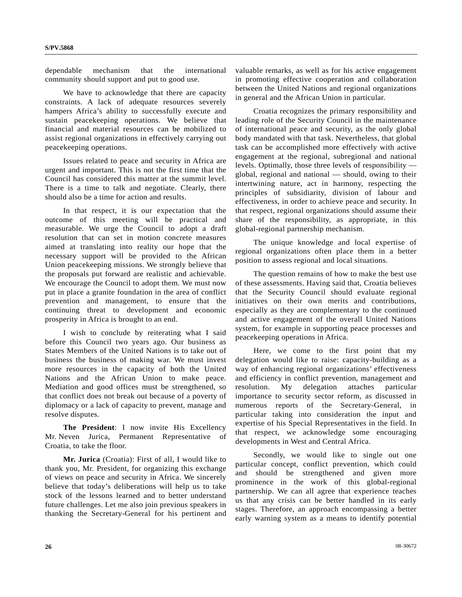dependable mechanism that the international community should support and put to good use.

 We have to acknowledge that there are capacity constraints. A lack of adequate resources severely hampers Africa's ability to successfully execute and sustain peacekeeping operations. We believe that financial and material resources can be mobilized to assist regional organizations in effectively carrying out peacekeeping operations.

 Issues related to peace and security in Africa are urgent and important. This is not the first time that the Council has considered this matter at the summit level. There is a time to talk and negotiate. Clearly, there should also be a time for action and results.

 In that respect, it is our expectation that the outcome of this meeting will be practical and measurable. We urge the Council to adopt a draft resolution that can set in motion concrete measures aimed at translating into reality our hope that the necessary support will be provided to the African Union peacekeeping missions. We strongly believe that the proposals put forward are realistic and achievable. We encourage the Council to adopt them. We must now put in place a granite foundation in the area of conflict prevention and management, to ensure that the continuing threat to development and economic prosperity in Africa is brought to an end.

 I wish to conclude by reiterating what I said before this Council two years ago. Our business as States Members of the United Nations is to take out of business the business of making war. We must invest more resources in the capacity of both the United Nations and the African Union to make peace. Mediation and good offices must be strengthened, so that conflict does not break out because of a poverty of diplomacy or a lack of capacity to prevent, manage and resolve disputes.

**The President**: I now invite His Excellency Mr. Neven Jurica, Permanent Representative of Croatia, to take the floor.

**Mr. Jurica** (Croatia): First of all, I would like to thank you, Mr. President, for organizing this exchange of views on peace and security in Africa. We sincerely believe that today's deliberations will help us to take stock of the lessons learned and to better understand future challenges. Let me also join previous speakers in thanking the Secretary-General for his pertinent and valuable remarks, as well as for his active engagement in promoting effective cooperation and collaboration between the United Nations and regional organizations in general and the African Union in particular.

 Croatia recognizes the primary responsibility and leading role of the Security Council in the maintenance of international peace and security, as the only global body mandated with that task. Nevertheless, that global task can be accomplished more effectively with active engagement at the regional, subregional and national levels. Optimally, those three levels of responsibility global, regional and national — should, owing to their intertwining nature, act in harmony, respecting the principles of subsidiarity, division of labour and effectiveness, in order to achieve peace and security. In that respect, regional organizations should assume their share of the responsibility, as appropriate, in this global-regional partnership mechanism.

 The unique knowledge and local expertise of regional organizations often place them in a better position to assess regional and local situations.

 The question remains of how to make the best use of these assessments. Having said that, Croatia believes that the Security Council should evaluate regional initiatives on their own merits and contributions, especially as they are complementary to the continued and active engagement of the overall United Nations system, for example in supporting peace processes and peacekeeping operations in Africa.

 Here, we come to the first point that my delegation would like to raise: capacity-building as a way of enhancing regional organizations' effectiveness and efficiency in conflict prevention, management and resolution. My delegation attaches particular importance to security sector reform, as discussed in numerous reports of the Secretary-General, in particular taking into consideration the input and expertise of his Special Representatives in the field. In that respect, we acknowledge some encouraging developments in West and Central Africa.

 Secondly, we would like to single out one particular concept, conflict prevention, which could and should be strengthened and given more prominence in the work of this global-regional partnership. We can all agree that experience teaches us that any crisis can be better handled in its early stages. Therefore, an approach encompassing a better early warning system as a means to identify potential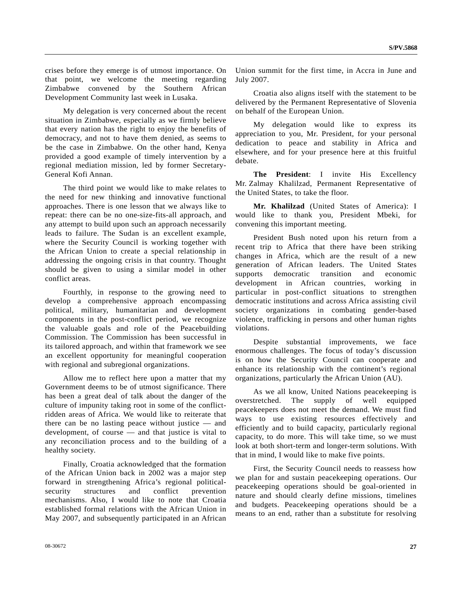crises before they emerge is of utmost importance. On that point, we welcome the meeting regarding Zimbabwe convened by the Southern African Development Community last week in Lusaka.

 My delegation is very concerned about the recent situation in Zimbabwe, especially as we firmly believe that every nation has the right to enjoy the benefits of democracy, and not to have them denied, as seems to be the case in Zimbabwe. On the other hand, Kenya provided a good example of timely intervention by a regional mediation mission, led by former Secretary-General Kofi Annan.

 The third point we would like to make relates to the need for new thinking and innovative functional approaches. There is one lesson that we always like to repeat: there can be no one-size-fits-all approach, and any attempt to build upon such an approach necessarily leads to failure. The Sudan is an excellent example, where the Security Council is working together with the African Union to create a special relationship in addressing the ongoing crisis in that country. Thought should be given to using a similar model in other conflict areas.

 Fourthly, in response to the growing need to develop a comprehensive approach encompassing political, military, humanitarian and development components in the post-conflict period, we recognize the valuable goals and role of the Peacebuilding Commission. The Commission has been successful in its tailored approach, and within that framework we see an excellent opportunity for meaningful cooperation with regional and subregional organizations.

 Allow me to reflect here upon a matter that my Government deems to be of utmost significance. There has been a great deal of talk about the danger of the culture of impunity taking root in some of the conflictridden areas of Africa. We would like to reiterate that there can be no lasting peace without justice — and development, of course — and that justice is vital to any reconciliation process and to the building of a healthy society.

 Finally, Croatia acknowledged that the formation of the African Union back in 2002 was a major step forward in strengthening Africa's regional politicalsecurity structures and conflict prevention mechanisms. Also, I would like to note that Croatia established formal relations with the African Union in May 2007, and subsequently participated in an African

Union summit for the first time, in Accra in June and July 2007.

 Croatia also aligns itself with the statement to be delivered by the Permanent Representative of Slovenia on behalf of the European Union.

 My delegation would like to express its appreciation to you, Mr. President, for your personal dedication to peace and stability in Africa and elsewhere, and for your presence here at this fruitful debate.

**The President**: I invite His Excellency Mr. Zalmay Khalilzad, Permanent Representative of the United States, to take the floor.

**Mr. Khalilzad** (United States of America): I would like to thank you, President Mbeki, for convening this important meeting.

 President Bush noted upon his return from a recent trip to Africa that there have been striking changes in Africa, which are the result of a new generation of African leaders. The United States supports democratic transition and economic development in African countries, working in particular in post-conflict situations to strengthen democratic institutions and across Africa assisting civil society organizations in combating gender-based violence, trafficking in persons and other human rights violations.

 Despite substantial improvements, we face enormous challenges. The focus of today's discussion is on how the Security Council can cooperate and enhance its relationship with the continent's regional organizations, particularly the African Union (AU).

 As we all know, United Nations peacekeeping is overstretched. The supply of well equipped peacekeepers does not meet the demand. We must find ways to use existing resources effectively and efficiently and to build capacity, particularly regional capacity, to do more. This will take time, so we must look at both short-term and longer-term solutions. With that in mind, I would like to make five points.

 First, the Security Council needs to reassess how we plan for and sustain peacekeeping operations. Our peacekeeping operations should be goal-oriented in nature and should clearly define missions, timelines and budgets. Peacekeeping operations should be a means to an end, rather than a substitute for resolving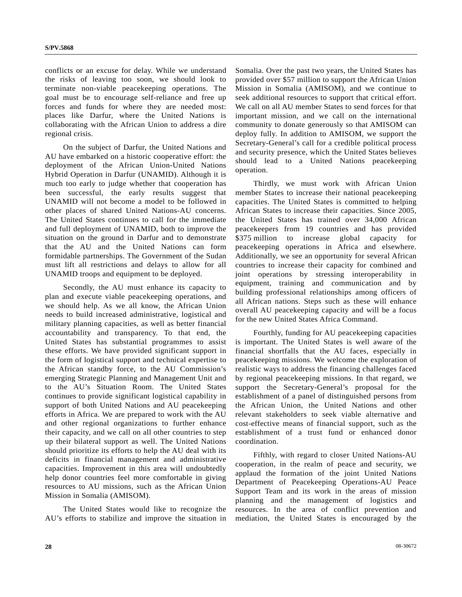conflicts or an excuse for delay. While we understand the risks of leaving too soon, we should look to terminate non-viable peacekeeping operations. The goal must be to encourage self-reliance and free up forces and funds for where they are needed most: places like Darfur, where the United Nations is collaborating with the African Union to address a dire regional crisis.

 On the subject of Darfur, the United Nations and AU have embarked on a historic cooperative effort: the deployment of the African Union-United Nations Hybrid Operation in Darfur (UNAMID). Although it is much too early to judge whether that cooperation has been successful, the early results suggest that UNAMID will not become a model to be followed in other places of shared United Nations-AU concerns. The United States continues to call for the immediate and full deployment of UNAMID, both to improve the situation on the ground in Darfur and to demonstrate that the AU and the United Nations can form formidable partnerships. The Government of the Sudan must lift all restrictions and delays to allow for all UNAMID troops and equipment to be deployed.

 Secondly, the AU must enhance its capacity to plan and execute viable peacekeeping operations, and we should help. As we all know, the African Union needs to build increased administrative, logistical and military planning capacities, as well as better financial accountability and transparency. To that end, the United States has substantial programmes to assist these efforts. We have provided significant support in the form of logistical support and technical expertise to the African standby force, to the AU Commission's emerging Strategic Planning and Management Unit and to the AU's Situation Room. The United States continues to provide significant logistical capability in support of both United Nations and AU peacekeeping efforts in Africa. We are prepared to work with the AU and other regional organizations to further enhance their capacity, and we call on all other countries to step up their bilateral support as well. The United Nations should prioritize its efforts to help the AU deal with its deficits in financial management and administrative capacities. Improvement in this area will undoubtedly help donor countries feel more comfortable in giving resources to AU missions, such as the African Union Mission in Somalia (AMISOM).

 The United States would like to recognize the AU's efforts to stabilize and improve the situation in Somalia. Over the past two years, the United States has provided over \$57 million to support the African Union Mission in Somalia (AMISOM), and we continue to seek additional resources to support that critical effort. We call on all AU member States to send forces for that important mission, and we call on the international community to donate generously so that AMISOM can deploy fully. In addition to AMISOM, we support the Secretary-General's call for a credible political process and security presence, which the United States believes should lead to a United Nations peacekeeping operation.

 Thirdly, we must work with African Union member States to increase their national peacekeeping capacities. The United States is committed to helping African States to increase their capacities. Since 2005, the United States has trained over 34,000 African peacekeepers from 19 countries and has provided \$375 million to increase global capacity for peacekeeping operations in Africa and elsewhere. Additionally, we see an opportunity for several African countries to increase their capacity for combined and joint operations by stressing interoperability in equipment, training and communication and by building professional relationships among officers of all African nations. Steps such as these will enhance overall AU peacekeeping capacity and will be a focus for the new United States Africa Command.

 Fourthly, funding for AU peacekeeping capacities is important. The United States is well aware of the financial shortfalls that the AU faces, especially in peacekeeping missions. We welcome the exploration of realistic ways to address the financing challenges faced by regional peacekeeping missions. In that regard, we support the Secretary-General's proposal for the establishment of a panel of distinguished persons from the African Union, the United Nations and other relevant stakeholders to seek viable alternative and cost-effective means of financial support, such as the establishment of a trust fund or enhanced donor coordination.

 Fifthly, with regard to closer United Nations-AU cooperation, in the realm of peace and security, we applaud the formation of the joint United Nations Department of Peacekeeping Operations-AU Peace Support Team and its work in the areas of mission planning and the management of logistics and resources. In the area of conflict prevention and mediation, the United States is encouraged by the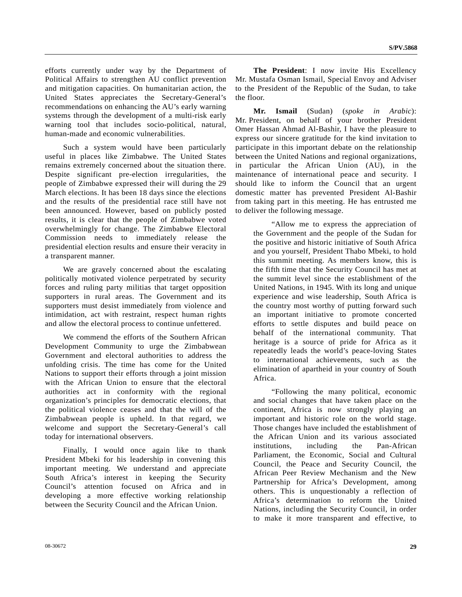efforts currently under way by the Department of Political Affairs to strengthen AU conflict prevention and mitigation capacities. On humanitarian action, the United States appreciates the Secretary-General's recommendations on enhancing the AU's early warning systems through the development of a multi-risk early warning tool that includes socio-political, natural, human-made and economic vulnerabilities.

 Such a system would have been particularly useful in places like Zimbabwe. The United States remains extremely concerned about the situation there. Despite significant pre-election irregularities, the people of Zimbabwe expressed their will during the 29 March elections. It has been 18 days since the elections and the results of the presidential race still have not been announced. However, based on publicly posted results, it is clear that the people of Zimbabwe voted overwhelmingly for change. The Zimbabwe Electoral Commission needs to immediately release the presidential election results and ensure their veracity in a transparent manner.

 We are gravely concerned about the escalating politically motivated violence perpetrated by security forces and ruling party militias that target opposition supporters in rural areas. The Government and its supporters must desist immediately from violence and intimidation, act with restraint, respect human rights and allow the electoral process to continue unfettered.

 We commend the efforts of the Southern African Development Community to urge the Zimbabwean Government and electoral authorities to address the unfolding crisis. The time has come for the United Nations to support their efforts through a joint mission with the African Union to ensure that the electoral authorities act in conformity with the regional organization's principles for democratic elections, that the political violence ceases and that the will of the Zimbabwean people is upheld. In that regard, we welcome and support the Secretary-General's call today for international observers.

 Finally, I would once again like to thank President Mbeki for his leadership in convening this important meeting. We understand and appreciate South Africa's interest in keeping the Security Council's attention focused on Africa and in developing a more effective working relationship between the Security Council and the African Union.

**The President**: I now invite His Excellency Mr. Mustafa Osman Ismail, Special Envoy and Adviser to the President of the Republic of the Sudan, to take the floor.

**Mr. Ismail** (Sudan) (*spoke in Arabic*): Mr. President, on behalf of your brother President Omer Hassan Ahmad Al-Bashir, I have the pleasure to express our sincere gratitude for the kind invitation to participate in this important debate on the relationship between the United Nations and regional organizations, in particular the African Union (AU), in the maintenance of international peace and security. I should like to inform the Council that an urgent domestic matter has prevented President Al-Bashir from taking part in this meeting. He has entrusted me to deliver the following message.

 "Allow me to express the appreciation of the Government and the people of the Sudan for the positive and historic initiative of South Africa and you yourself, President Thabo Mbeki, to hold this summit meeting. As members know, this is the fifth time that the Security Council has met at the summit level since the establishment of the United Nations, in 1945. With its long and unique experience and wise leadership, South Africa is the country most worthy of putting forward such an important initiative to promote concerted efforts to settle disputes and build peace on behalf of the international community. That heritage is a source of pride for Africa as it repeatedly leads the world's peace-loving States to international achievements, such as the elimination of apartheid in your country of South Africa.

 "Following the many political, economic and social changes that have taken place on the continent, Africa is now strongly playing an important and historic role on the world stage. Those changes have included the establishment of the African Union and its various associated institutions, including the Pan-African Parliament, the Economic, Social and Cultural Council, the Peace and Security Council, the African Peer Review Mechanism and the New Partnership for Africa's Development, among others. This is unquestionably a reflection of Africa's determination to reform the United Nations, including the Security Council, in order to make it more transparent and effective, to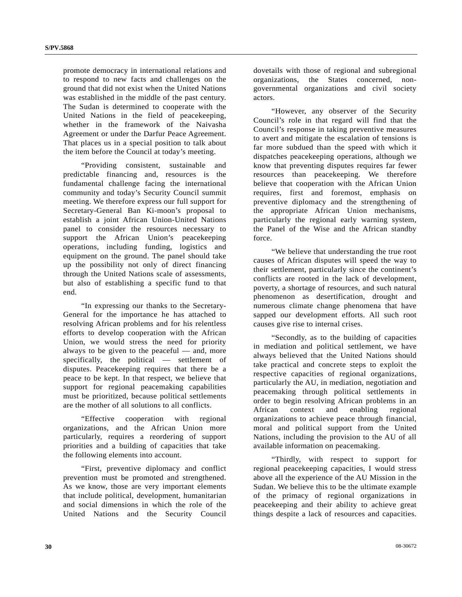promote democracy in international relations and to respond to new facts and challenges on the ground that did not exist when the United Nations was established in the middle of the past century. The Sudan is determined to cooperate with the United Nations in the field of peacekeeping, whether in the framework of the Naivasha Agreement or under the Darfur Peace Agreement. That places us in a special position to talk about the item before the Council at today's meeting.

 "Providing consistent, sustainable and predictable financing and, resources is the fundamental challenge facing the international community and today's Security Council summit meeting. We therefore express our full support for Secretary-General Ban Ki-moon's proposal to establish a joint African Union-United Nations panel to consider the resources necessary to support the African Union's peacekeeping operations, including funding, logistics and equipment on the ground. The panel should take up the possibility not only of direct financing through the United Nations scale of assessments, but also of establishing a specific fund to that end.

 "In expressing our thanks to the Secretary-General for the importance he has attached to resolving African problems and for his relentless efforts to develop cooperation with the African Union, we would stress the need for priority always to be given to the peaceful — and, more specifically, the political — settlement of disputes. Peacekeeping requires that there be a peace to be kept. In that respect, we believe that support for regional peacemaking capabilities must be prioritized, because political settlements are the mother of all solutions to all conflicts.

 "Effective cooperation with regional organizations, and the African Union more particularly, requires a reordering of support priorities and a building of capacities that take the following elements into account.

 "First, preventive diplomacy and conflict prevention must be promoted and strengthened. As we know, those are very important elements that include political, development, humanitarian and social dimensions in which the role of the United Nations and the Security Council

dovetails with those of regional and subregional organizations, the States concerned, nongovernmental organizations and civil society actors.

 "However, any observer of the Security Council's role in that regard will find that the Council's response in taking preventive measures to avert and mitigate the escalation of tensions is far more subdued than the speed with which it dispatches peacekeeping operations, although we know that preventing disputes requires far fewer resources than peacekeeping. We therefore believe that cooperation with the African Union requires, first and foremost, emphasis on preventive diplomacy and the strengthening of the appropriate African Union mechanisms, particularly the regional early warning system, the Panel of the Wise and the African standby force.

 "We believe that understanding the true root causes of African disputes will speed the way to their settlement, particularly since the continent's conflicts are rooted in the lack of development, poverty, a shortage of resources, and such natural phenomenon as desertification, drought and numerous climate change phenomena that have sapped our development efforts. All such root causes give rise to internal crises.

 "Secondly, as to the building of capacities in mediation and political settlement, we have always believed that the United Nations should take practical and concrete steps to exploit the respective capacities of regional organizations, particularly the AU, in mediation, negotiation and peacemaking through political settlements in order to begin resolving African problems in an African context and enabling regional organizations to achieve peace through financial, moral and political support from the United Nations, including the provision to the AU of all available information on peacemaking.

 "Thirdly, with respect to support for regional peacekeeping capacities, I would stress above all the experience of the AU Mission in the Sudan. We believe this to be the ultimate example of the primacy of regional organizations in peacekeeping and their ability to achieve great things despite a lack of resources and capacities.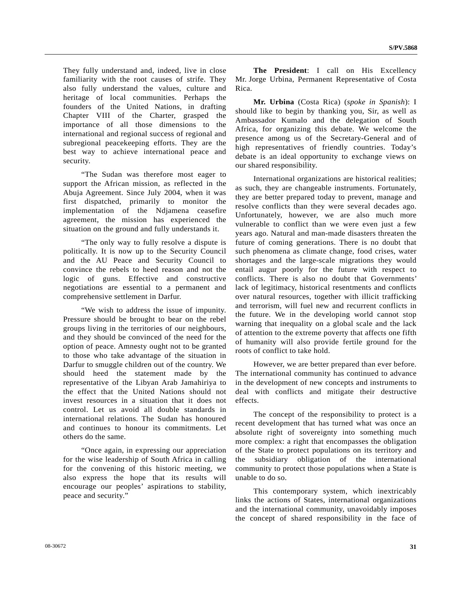They fully understand and, indeed, live in close familiarity with the root causes of strife. They also fully understand the values, culture and heritage of local communities. Perhaps the founders of the United Nations, in drafting Chapter VIII of the Charter, grasped the importance of all those dimensions to the international and regional success of regional and subregional peacekeeping efforts. They are the best way to achieve international peace and security.

 "The Sudan was therefore most eager to support the African mission, as reflected in the Abuja Agreement. Since July 2004, when it was first dispatched, primarily to monitor the implementation of the Ndjamena ceasefire agreement, the mission has experienced the situation on the ground and fully understands it.

 "The only way to fully resolve a dispute is politically. It is now up to the Security Council and the AU Peace and Security Council to convince the rebels to heed reason and not the logic of guns. Effective and constructive negotiations are essential to a permanent and comprehensive settlement in Darfur.

 "We wish to address the issue of impunity. Pressure should be brought to bear on the rebel groups living in the territories of our neighbours, and they should be convinced of the need for the option of peace. Amnesty ought not to be granted to those who take advantage of the situation in Darfur to smuggle children out of the country. We should heed the statement made by the representative of the Libyan Arab Jamahiriya to the effect that the United Nations should not invest resources in a situation that it does not control. Let us avoid all double standards in international relations. The Sudan has honoured and continues to honour its commitments. Let others do the same.

 "Once again, in expressing our appreciation for the wise leadership of South Africa in calling for the convening of this historic meeting, we also express the hope that its results will encourage our peoples' aspirations to stability, peace and security."

**The President**: I call on His Excellency Mr. Jorge Urbina, Permanent Representative of Costa Rica.

**Mr. Urbina** (Costa Rica) (*spoke in Spanish*): I should like to begin by thanking you, Sir, as well as Ambassador Kumalo and the delegation of South Africa, for organizing this debate. We welcome the presence among us of the Secretary-General and of high representatives of friendly countries. Today's debate is an ideal opportunity to exchange views on our shared responsibility.

 International organizations are historical realities; as such, they are changeable instruments. Fortunately, they are better prepared today to prevent, manage and resolve conflicts than they were several decades ago. Unfortunately, however, we are also much more vulnerable to conflict than we were even just a few years ago. Natural and man-made disasters threaten the future of coming generations. There is no doubt that such phenomena as climate change, food crises, water shortages and the large-scale migrations they would entail augur poorly for the future with respect to conflicts. There is also no doubt that Governments' lack of legitimacy, historical resentments and conflicts over natural resources, together with illicit trafficking and terrorism, will fuel new and recurrent conflicts in the future. We in the developing world cannot stop warning that inequality on a global scale and the lack of attention to the extreme poverty that affects one fifth of humanity will also provide fertile ground for the roots of conflict to take hold.

 However, we are better prepared than ever before. The international community has continued to advance in the development of new concepts and instruments to deal with conflicts and mitigate their destructive effects.

 The concept of the responsibility to protect is a recent development that has turned what was once an absolute right of sovereignty into something much more complex: a right that encompasses the obligation of the State to protect populations on its territory and the subsidiary obligation of the international community to protect those populations when a State is unable to do so.

 This contemporary system, which inextricably links the actions of States, international organizations and the international community, unavoidably imposes the concept of shared responsibility in the face of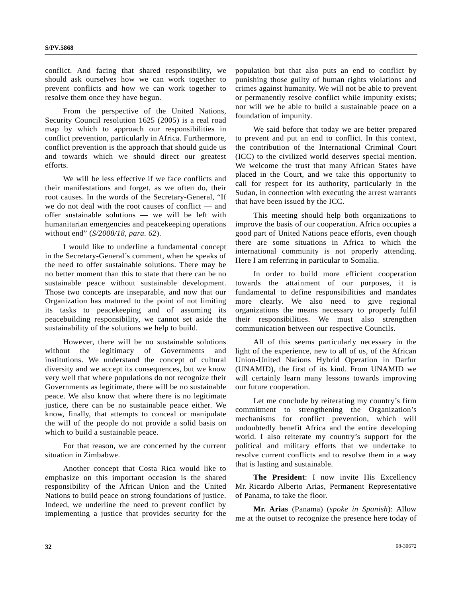conflict. And facing that shared responsibility, we should ask ourselves how we can work together to prevent conflicts and how we can work together to resolve them once they have begun.

 From the perspective of the United Nations, Security Council resolution 1625 (2005) is a real road map by which to approach our responsibilities in conflict prevention, particularly in Africa. Furthermore, conflict prevention is the approach that should guide us and towards which we should direct our greatest efforts.

 We will be less effective if we face conflicts and their manifestations and forget, as we often do, their root causes. In the words of the Secretary-General, "If we do not deal with the root causes of conflict — and offer sustainable solutions — we will be left with humanitarian emergencies and peacekeeping operations without end" (*S/2008/18, para. 62*).

 I would like to underline a fundamental concept in the Secretary-General's comment, when he speaks of the need to offer sustainable solutions. There may be no better moment than this to state that there can be no sustainable peace without sustainable development. Those two concepts are inseparable, and now that our Organization has matured to the point of not limiting its tasks to peacekeeping and of assuming its peacebuilding responsibility, we cannot set aside the sustainability of the solutions we help to build.

 However, there will be no sustainable solutions without the legitimacy of Governments and institutions. We understand the concept of cultural diversity and we accept its consequences, but we know very well that where populations do not recognize their Governments as legitimate, there will be no sustainable peace. We also know that where there is no legitimate justice, there can be no sustainable peace either. We know, finally, that attempts to conceal or manipulate the will of the people do not provide a solid basis on which to build a sustainable peace.

 For that reason, we are concerned by the current situation in Zimbabwe.

 Another concept that Costa Rica would like to emphasize on this important occasion is the shared responsibility of the African Union and the United Nations to build peace on strong foundations of justice. Indeed, we underline the need to prevent conflict by implementing a justice that provides security for the

population but that also puts an end to conflict by punishing those guilty of human rights violations and crimes against humanity. We will not be able to prevent or permanently resolve conflict while impunity exists; nor will we be able to build a sustainable peace on a foundation of impunity.

 We said before that today we are better prepared to prevent and put an end to conflict. In this context, the contribution of the International Criminal Court (ICC) to the civilized world deserves special mention. We welcome the trust that many African States have placed in the Court, and we take this opportunity to call for respect for its authority, particularly in the Sudan, in connection with executing the arrest warrants that have been issued by the ICC.

 This meeting should help both organizations to improve the basis of our cooperation. Africa occupies a good part of United Nations peace efforts, even though there are some situations in Africa to which the international community is not properly attending. Here I am referring in particular to Somalia.

 In order to build more efficient cooperation towards the attainment of our purposes, it is fundamental to define responsibilities and mandates more clearly. We also need to give regional organizations the means necessary to properly fulfil their responsibilities. We must also strengthen communication between our respective Councils.

 All of this seems particularly necessary in the light of the experience, new to all of us, of the African Union-United Nations Hybrid Operation in Darfur (UNAMID), the first of its kind. From UNAMID we will certainly learn many lessons towards improving our future cooperation.

 Let me conclude by reiterating my country's firm commitment to strengthening the Organization's mechanisms for conflict prevention, which will undoubtedly benefit Africa and the entire developing world. I also reiterate my country's support for the political and military efforts that we undertake to resolve current conflicts and to resolve them in a way that is lasting and sustainable.

**The President**: I now invite His Excellency Mr. Ricardo Alberto Arias, Permanent Representative of Panama, to take the floor.

**Mr. Arias** (Panama) (*spoke in Spanish*): Allow me at the outset to recognize the presence here today of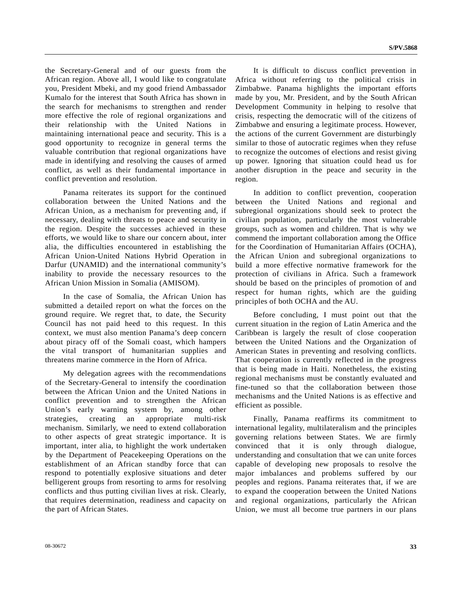the Secretary-General and of our guests from the African region. Above all, I would like to congratulate you, President Mbeki, and my good friend Ambassador Kumalo for the interest that South Africa has shown in the search for mechanisms to strengthen and render more effective the role of regional organizations and their relationship with the United Nations in maintaining international peace and security. This is a good opportunity to recognize in general terms the valuable contribution that regional organizations have made in identifying and resolving the causes of armed conflict, as well as their fundamental importance in conflict prevention and resolution.

 Panama reiterates its support for the continued collaboration between the United Nations and the African Union, as a mechanism for preventing and, if necessary, dealing with threats to peace and security in the region. Despite the successes achieved in these efforts, we would like to share our concern about, inter alia, the difficulties encountered in establishing the African Union-United Nations Hybrid Operation in Darfur (UNAMID) and the international community's inability to provide the necessary resources to the African Union Mission in Somalia (AMISOM).

 In the case of Somalia, the African Union has submitted a detailed report on what the forces on the ground require. We regret that, to date, the Security Council has not paid heed to this request. In this context, we must also mention Panama's deep concern about piracy off of the Somali coast, which hampers the vital transport of humanitarian supplies and threatens marine commerce in the Horn of Africa.

 My delegation agrees with the recommendations of the Secretary-General to intensify the coordination between the African Union and the United Nations in conflict prevention and to strengthen the African Union's early warning system by, among other strategies, creating an appropriate multi-risk mechanism. Similarly, we need to extend collaboration to other aspects of great strategic importance. It is important, inter alia, to highlight the work undertaken by the Department of Peacekeeping Operations on the establishment of an African standby force that can respond to potentially explosive situations and deter belligerent groups from resorting to arms for resolving conflicts and thus putting civilian lives at risk. Clearly, that requires determination, readiness and capacity on the part of African States.

 It is difficult to discuss conflict prevention in Africa without referring to the political crisis in Zimbabwe. Panama highlights the important efforts made by you, Mr. President, and by the South African Development Community in helping to resolve that crisis, respecting the democratic will of the citizens of Zimbabwe and ensuring a legitimate process. However, the actions of the current Government are disturbingly similar to those of autocratic regimes when they refuse to recognize the outcomes of elections and resist giving up power. Ignoring that situation could head us for another disruption in the peace and security in the region.

 In addition to conflict prevention, cooperation between the United Nations and regional and subregional organizations should seek to protect the civilian population, particularly the most vulnerable groups, such as women and children. That is why we commend the important collaboration among the Office for the Coordination of Humanitarian Affairs (OCHA), the African Union and subregional organizations to build a more effective normative framework for the protection of civilians in Africa. Such a framework should be based on the principles of promotion of and respect for human rights, which are the guiding principles of both OCHA and the AU.

 Before concluding, I must point out that the current situation in the region of Latin America and the Caribbean is largely the result of close cooperation between the United Nations and the Organization of American States in preventing and resolving conflicts. That cooperation is currently reflected in the progress that is being made in Haiti. Nonetheless, the existing regional mechanisms must be constantly evaluated and fine-tuned so that the collaboration between those mechanisms and the United Nations is as effective and efficient as possible.

 Finally, Panama reaffirms its commitment to international legality, multilateralism and the principles governing relations between States. We are firmly convinced that it is only through dialogue, understanding and consultation that we can unite forces capable of developing new proposals to resolve the major imbalances and problems suffered by our peoples and regions. Panama reiterates that, if we are to expand the cooperation between the United Nations and regional organizations, particularly the African Union, we must all become true partners in our plans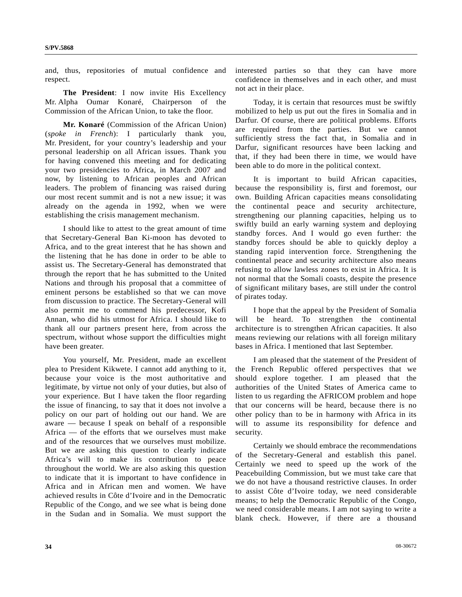and, thus, repositories of mutual confidence and respect.

**The President**: I now invite His Excellency Mr. Alpha Oumar Konaré, Chairperson of the Commission of the African Union, to take the floor.

**Mr. Konaré** (Commission of the African Union) (*spoke in French*): I particularly thank you, Mr. President, for your country's leadership and your personal leadership on all African issues. Thank you for having convened this meeting and for dedicating your two presidencies to Africa, in March 2007 and now, by listening to African peoples and African leaders. The problem of financing was raised during our most recent summit and is not a new issue; it was already on the agenda in 1992, when we were establishing the crisis management mechanism.

 I should like to attest to the great amount of time that Secretary-General Ban Ki-moon has devoted to Africa, and to the great interest that he has shown and the listening that he has done in order to be able to assist us. The Secretary-General has demonstrated that through the report that he has submitted to the United Nations and through his proposal that a committee of eminent persons be established so that we can move from discussion to practice. The Secretary-General will also permit me to commend his predecessor, Kofi Annan, who did his utmost for Africa. I should like to thank all our partners present here, from across the spectrum, without whose support the difficulties might have been greater.

 You yourself, Mr. President, made an excellent plea to President Kikwete. I cannot add anything to it, because your voice is the most authoritative and legitimate, by virtue not only of your duties, but also of your experience. But I have taken the floor regarding the issue of financing, to say that it does not involve a policy on our part of holding out our hand. We are aware — because I speak on behalf of a responsible Africa — of the efforts that we ourselves must make and of the resources that we ourselves must mobilize. But we are asking this question to clearly indicate Africa's will to make its contribution to peace throughout the world. We are also asking this question to indicate that it is important to have confidence in Africa and in African men and women. We have achieved results in Côte d'Ivoire and in the Democratic Republic of the Congo, and we see what is being done in the Sudan and in Somalia. We must support the

interested parties so that they can have more confidence in themselves and in each other, and must not act in their place.

 Today, it is certain that resources must be swiftly mobilized to help us put out the fires in Somalia and in Darfur. Of course, there are political problems. Efforts are required from the parties. But we cannot sufficiently stress the fact that, in Somalia and in Darfur, significant resources have been lacking and that, if they had been there in time, we would have been able to do more in the political context.

 It is important to build African capacities, because the responsibility is, first and foremost, our own. Building African capacities means consolidating the continental peace and security architecture, strengthening our planning capacities, helping us to swiftly build an early warning system and deploying standby forces. And I would go even further: the standby forces should be able to quickly deploy a standing rapid intervention force. Strengthening the continental peace and security architecture also means refusing to allow lawless zones to exist in Africa. It is not normal that the Somali coasts, despite the presence of significant military bases, are still under the control of pirates today.

 I hope that the appeal by the President of Somalia will be heard. To strengthen the continental architecture is to strengthen African capacities. It also means reviewing our relations with all foreign military bases in Africa. I mentioned that last September.

 I am pleased that the statement of the President of the French Republic offered perspectives that we should explore together. I am pleased that the authorities of the United States of America came to listen to us regarding the AFRICOM problem and hope that our concerns will be heard, because there is no other policy than to be in harmony with Africa in its will to assume its responsibility for defence and security.

 Certainly we should embrace the recommendations of the Secretary-General and establish this panel. Certainly we need to speed up the work of the Peacebuilding Commission, but we must take care that we do not have a thousand restrictive clauses. In order to assist Côte d'Ivoire today, we need considerable means; to help the Democratic Republic of the Congo, we need considerable means. I am not saying to write a blank check. However, if there are a thousand